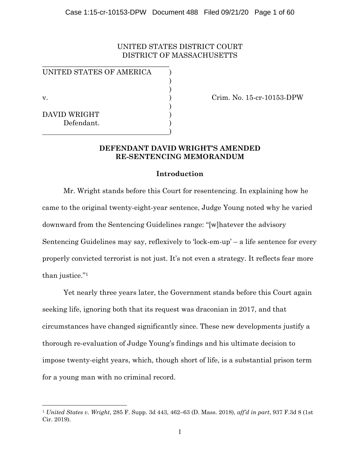### UNITED STATES DISTRICT COURT DISTRICT OF MASSACHUSETTS

UNITED STATES OF AMERICA )

 $\overline{\phantom{a}}$  , where  $\overline{\phantom{a}}$  , where  $\overline{\phantom{a}}$  ,  $\overline{\phantom{a}}$  ,  $\overline{\phantom{a}}$  ,  $\overline{\phantom{a}}$  ,  $\overline{\phantom{a}}$  ,  $\overline{\phantom{a}}$  ,  $\overline{\phantom{a}}$  ,  $\overline{\phantom{a}}$  ,  $\overline{\phantom{a}}$  ,  $\overline{\phantom{a}}$  ,  $\overline{\phantom{a}}$  ,  $\overline{\phantom{a}}$  ,  $\overline{\phantom{a}}$  ,

 $)$  $)$ 

 $)$ 

 $\hspace{1.5cm}$  ) and the contract of the contract of  $\hspace{1.5cm}$ 

DAVID WRIGHT ) Defendant.

v. ) Crim. No. 15-cr-10153-DPW

### **DEFENDANT DAVID WRIGHT'S AMENDED RE-SENTENCING MEMORANDUM**

### **Introduction**

Mr. Wright stands before this Court for resentencing. In explaining how he came to the original twenty-eight-year sentence, Judge Young noted why he varied downward from the Sentencing Guidelines range: "[w]hatever the advisory Sentencing Guidelines may say, reflexively to 'lock-em-up' – a life sentence for every properly convicted terrorist is not just. It's not even a strategy. It reflects fear more than justice."1

Yet nearly three years later, the Government stands before this Court again seeking life, ignoring both that its request was draconian in 2017, and that circumstances have changed significantly since. These new developments justify a thorough re-evaluation of Judge Young's findings and his ultimate decision to impose twenty-eight years, which, though short of life, is a substantial prison term for a young man with no criminal record.

<sup>1</sup> *United States v. Wright*, 285 F. Supp. 3d 443, 462–63 (D. Mass. 2018), *aff'd in part*, 937 F.3d 8 (1st Cir. 2019).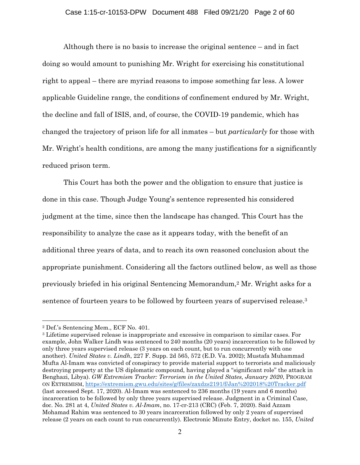Although there is no basis to increase the original sentence – and in fact doing so would amount to punishing Mr. Wright for exercising his constitutional right to appeal – there are myriad reasons to impose something far less. A lower applicable Guideline range, the conditions of confinement endured by Mr. Wright, the decline and fall of ISIS, and, of course, the COVID-19 pandemic, which has changed the trajectory of prison life for all inmates – but *particularly* for those with Mr. Wright's health conditions, are among the many justifications for a significantly reduced prison term.

This Court has both the power and the obligation to ensure that justice is done in this case. Though Judge Young's sentence represented his considered judgment at the time, since then the landscape has changed. This Court has the responsibility to analyze the case as it appears today, with the benefit of an additional three years of data, and to reach its own reasoned conclusion about the appropriate punishment. Considering all the factors outlined below, as well as those previously briefed in his original Sentencing Memorandum,2 Mr. Wright asks for a sentence of fourteen years to be followed by fourteen years of supervised release.3

<sup>2</sup> Def.'s Sentencing Mem., ECF No. 401.

<sup>3</sup> Lifetime supervised release is inappropriate and excessive in comparison to similar cases. For example, John Walker Lindh was sentenced to 240 months (20 years) incarceration to be followed by only three years supervised release (3 years on each count, but to run concurrently with one another). *United States v. Lindh*, 227 F. Supp. 2d 565, 572 (E.D. Va. 2002); Mustafa Muhammad Mufta Al-Imam was convicted of conspiracy to provide material support to terrorists and maliciously destroying property at the US diplomatic compound, having played a "significant role" the attack in Benghazi, Libya). *GW Extremism Tracker: Terrorism in the United States, January 2020*, PROGRAM ON EXTREMISM, https://extremism.gwu.edu/sites/g/files/zaxdzs2191/f/Jan%202018%20Tracker.pdf (last accessed Sept. 17, 2020). Al-Imam was sentenced to 236 months (19 years and 6 months) incarceration to be followed by only three years supervised release. Judgment in a Criminal Case, doc. No. 281 at 4, *United States v. Al-Imam*, no. 17-cr-213 (CRC) (Feb. 7, 2020). Said Azzam Mohamad Rahim was sentenced to 30 years incarceration followed by only 2 years of supervised release (2 years on each count to run concurrently). Electronic Minute Entry, docket no. 155, *United*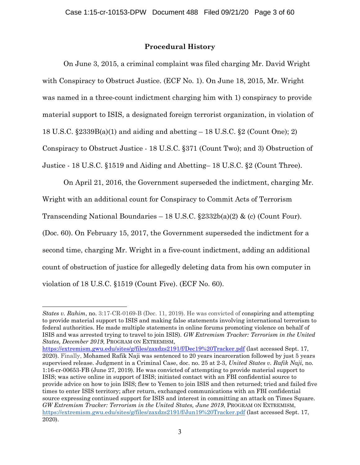## **Procedural History**

On June 3, 2015, a criminal complaint was filed charging Mr. David Wright with Conspiracy to Obstruct Justice. (ECF No. 1). On June 18, 2015, Mr. Wright was named in a three-count indictment charging him with 1) conspiracy to provide material support to ISIS, a designated foreign terrorist organization, in violation of 18 U.S.C. §2339B(a)(1) and aiding and abetting – 18 U.S.C. §2 (Count One); 2) Conspiracy to Obstruct Justice - 18 U.S.C. §371 (Count Two); and 3) Obstruction of Justice - 18 U.S.C. §1519 and Aiding and Abetting– 18 U.S.C. §2 (Count Three).

On April 21, 2016, the Government superseded the indictment, charging Mr. Wright with an additional count for Conspiracy to Commit Acts of Terrorism Transcending National Boundaries – 18 U.S.C.  $\S 2332b(a)(2)$  & (c) (Count Four). (Doc. 60). On February 15, 2017, the Government superseded the indictment for a second time, charging Mr. Wright in a five-count indictment, adding an additional count of obstruction of justice for allegedly deleting data from his own computer in violation of 18 U.S.C. §1519 (Count Five). (ECF No. 60).

https://extremism.gwu.edu/sites/g/files/zaxdzs2191/f/Dec19%20Tracker.pdf (last accessed Sept. 17, 2020). Finally, Mohamed Rafik Naji was sentenced to 20 years incarceration followed by just 5 years supervised release. Judgment in a Criminal Case, doc. no. 25 at 2-3, *United States v. Rafik Naji*, no. 1:16-cr-00653-FB (June 27, 2019). He was convicted of attempting to provide material support to ISIS; was active online in support of ISIS; initiated contact with an FBI confidential source to provide advice on how to join ISIS; flew to Yemen to join ISIS and then returned; tried and failed five times to enter ISIS territory; after return, exchanged communications with an FBI confidential source expressing continued support for ISIS and interest in committing an attack on Times Square. *GW Extremism Tracker: Terrorism in the United States, June 2019*, PROGRAM ON EXTREMISM, https://extremism.gwu.edu/sites/g/files/zaxdzs2191/f/Jun19%20Tracker.pdf (last accessed Sept. 17, 2020).

*States v. Rahim*, no. 3:17-CR-0169-B (Dec. 11, 2019). He was convicted of conspiring and attempting to provide material support to ISIS and making false statements involving international terrorism to federal authorities. He made multiple statements in online forums promoting violence on behalf of ISIS and was arrested trying to travel to join ISIS). *GW Extremism Tracker: Terrorism in the United States, December 2019*, PROGRAM ON EXTREMISM,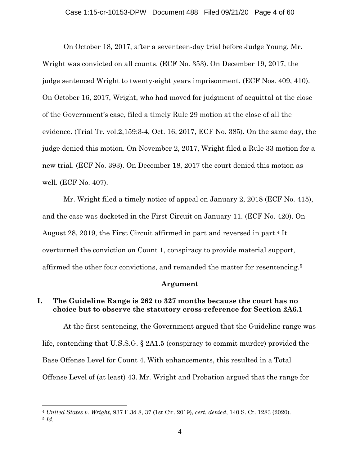On October 18, 2017, after a seventeen-day trial before Judge Young, Mr. Wright was convicted on all counts. (ECF No. 353). On December 19, 2017, the judge sentenced Wright to twenty-eight years imprisonment. (ECF Nos. 409, 410). On October 16, 2017, Wright, who had moved for judgment of acquittal at the close of the Government's case, filed a timely Rule 29 motion at the close of all the evidence. (Trial Tr. vol.2,159:3-4, Oct. 16, 2017, ECF No. 385). On the same day, the judge denied this motion. On November 2, 2017, Wright filed a Rule 33 motion for a new trial. (ECF No. 393). On December 18, 2017 the court denied this motion as well. (ECF No. 407).

Mr. Wright filed a timely notice of appeal on January 2, 2018 (ECF No. 415), and the case was docketed in the First Circuit on January 11. (ECF No. 420). On August 28, 2019, the First Circuit affirmed in part and reversed in part.4 It overturned the conviction on Count 1, conspiracy to provide material support, affirmed the other four convictions, and remanded the matter for resentencing.5

### **Argument**

## **I. The Guideline Range is 262 to 327 months because the court has no choice but to observe the statutory cross-reference for Section 2A6.1**

At the first sentencing, the Government argued that the Guideline range was life, contending that U.S.S.G. § 2A1.5 (conspiracy to commit murder) provided the Base Offense Level for Count 4. With enhancements, this resulted in a Total Offense Level of (at least) 43. Mr. Wright and Probation argued that the range for

<sup>4</sup> *United States v. Wright*, 937 F.3d 8, 37 (1st Cir. 2019), *cert. denied*, 140 S. Ct. 1283 (2020). <sup>5</sup> *Id.*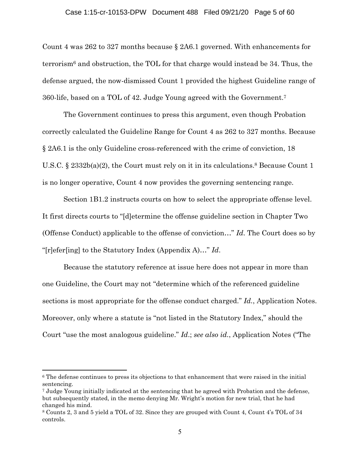#### Case 1:15-cr-10153-DPW Document 488 Filed 09/21/20 Page 5 of 60

Count 4 was 262 to 327 months because § 2A6.1 governed. With enhancements for terrorism<sup> $6$ </sup> and obstruction, the TOL for that charge would instead be 34. Thus, the defense argued, the now-dismissed Count 1 provided the highest Guideline range of 360-life, based on a TOL of 42. Judge Young agreed with the Government.7

The Government continues to press this argument, even though Probation correctly calculated the Guideline Range for Count 4 as 262 to 327 months. Because § 2A6.1 is the only Guideline cross-referenced with the crime of conviction, 18 U.S.C.  $\S 2332b(a)(2)$ , the Court must rely on it in its calculations.<sup>8</sup> Because Count 1 is no longer operative, Count 4 now provides the governing sentencing range.

Section 1B1.2 instructs courts on how to select the appropriate offense level. It first directs courts to "[d]etermine the offense guideline section in Chapter Two (Offense Conduct) applicable to the offense of conviction…" *Id*. The Court does so by "[r]efer[ing] to the Statutory Index (Appendix A)…" *Id*.

Because the statutory reference at issue here does not appear in more than one Guideline, the Court may not "determine which of the referenced guideline sections is most appropriate for the offense conduct charged." *Id.*, Application Notes. Moreover, only where a statute is "not listed in the Statutory Index," should the Court "use the most analogous guideline." *Id*.; *see also id.*, Application Notes ("The

<sup>&</sup>lt;sup>6</sup> The defense continues to press its objections to that enhancement that were raised in the initial sentencing.

<sup>7</sup> Judge Young initially indicated at the sentencing that he agreed with Probation and the defense, but subsequently stated, in the memo denying Mr. Wright's motion for new trial, that he had changed his mind.

<sup>8</sup> Counts 2, 3 and 5 yield a TOL of 32. Since they are grouped with Count 4, Count 4's TOL of 34 controls.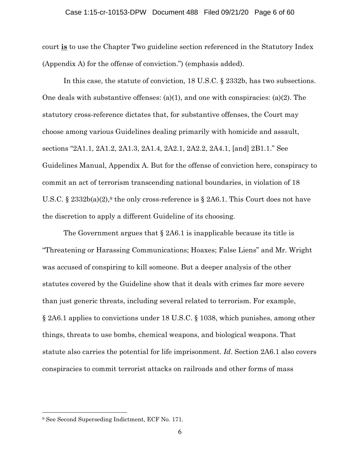#### Case 1:15-cr-10153-DPW Document 488 Filed 09/21/20 Page 6 of 60

court **is** to use the Chapter Two guideline section referenced in the Statutory Index (Appendix A) for the offense of conviction.") (emphasis added).

 In this case, the statute of conviction, 18 U.S.C. § 2332b, has two subsections. One deals with substantive offenses:  $(a)(1)$ , and one with conspiracies:  $(a)(2)$ . The statutory cross-reference dictates that, for substantive offenses, the Court may choose among various Guidelines dealing primarily with homicide and assault, sections "2A1.1, 2A1.2, 2A1.3, 2A1.4, 2A2.1, 2A2.2, 2A4.1, [and] 2B1.1." See Guidelines Manual, Appendix A. But for the offense of conviction here, conspiracy to commit an act of terrorism transcending national boundaries, in violation of 18 U.S.C. § 2332b(a)(2),<sup>9</sup> the only cross-reference is § 2A6.1. This Court does not have the discretion to apply a different Guideline of its choosing.

The Government argues that  $\S 246.1$  is inapplicable because its title is "Threatening or Harassing Communications; Hoaxes; False Liens" and Mr. Wright was accused of conspiring to kill someone. But a deeper analysis of the other statutes covered by the Guideline show that it deals with crimes far more severe than just generic threats, including several related to terrorism. For example, § 2A6.1 applies to convictions under 18 U.S.C. § 1038, which punishes, among other things, threats to use bombs, chemical weapons, and biological weapons. That statute also carries the potential for life imprisonment. *Id*. Section 2A6.1 also covers conspiracies to commit terrorist attacks on railroads and other forms of mass

<sup>9</sup> See Second Superseding Indictment, ECF No. 171.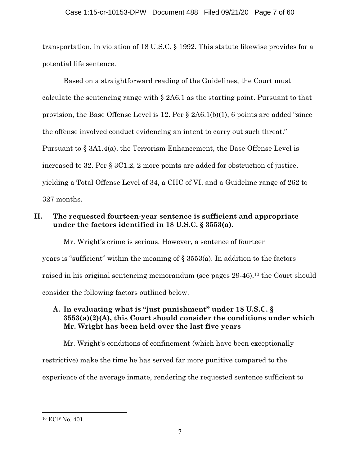### Case 1:15-cr-10153-DPW Document 488 Filed 09/21/20 Page 7 of 60

transportation, in violation of 18 U.S.C. § 1992. This statute likewise provides for a potential life sentence.

 Based on a straightforward reading of the Guidelines, the Court must calculate the sentencing range with § 2A6.1 as the starting point. Pursuant to that provision, the Base Offense Level is 12. Per § 2A6.1(b)(1), 6 points are added "since the offense involved conduct evidencing an intent to carry out such threat." Pursuant to § 3A1.4(a), the Terrorism Enhancement, the Base Offense Level is increased to 32. Per § 3C1.2, 2 more points are added for obstruction of justice, yielding a Total Offense Level of 34, a CHC of VI, and a Guideline range of 262 to 327 months.

# **II. The requested fourteen-year sentence is sufficient and appropriate under the factors identified in 18 U.S.C. § 3553(a).**

 Mr. Wright's crime is serious. However, a sentence of fourteen years is "sufficient" within the meaning of § 3553(a). In addition to the factors raised in his original sentencing memorandum (see pages 29-46),<sup>10</sup> the Court should consider the following factors outlined below.

# **A. In evaluating what is "just punishment" under 18 U.S.C. § 3553(a)(2)(A), this Court should consider the conditions under which Mr. Wright has been held over the last five years**

 Mr. Wright's conditions of confinement (which have been exceptionally restrictive) make the time he has served far more punitive compared to the experience of the average inmate, rendering the requested sentence sufficient to

<sup>10</sup> ECF No. 401.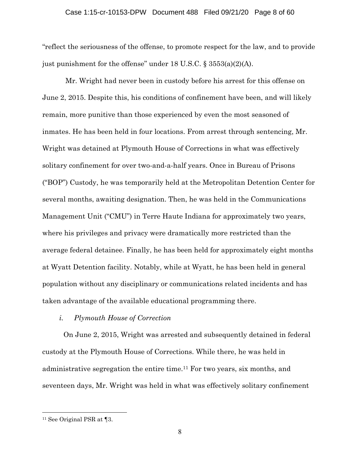### Case 1:15-cr-10153-DPW Document 488 Filed 09/21/20 Page 8 of 60

"reflect the seriousness of the offense, to promote respect for the law, and to provide just punishment for the offense" under 18 U.S.C. § 3553(a)(2)(A).

 Mr. Wright had never been in custody before his arrest for this offense on June 2, 2015. Despite this, his conditions of confinement have been, and will likely remain, more punitive than those experienced by even the most seasoned of inmates. He has been held in four locations. From arrest through sentencing, Mr. Wright was detained at Plymouth House of Corrections in what was effectively solitary confinement for over two-and-a-half years. Once in Bureau of Prisons ("BOP") Custody, he was temporarily held at the Metropolitan Detention Center for several months, awaiting designation. Then, he was held in the Communications Management Unit ("CMU") in Terre Haute Indiana for approximately two years, where his privileges and privacy were dramatically more restricted than the average federal detainee. Finally, he has been held for approximately eight months at Wyatt Detention facility. Notably, while at Wyatt, he has been held in general population without any disciplinary or communications related incidents and has taken advantage of the available educational programming there.

### *i. Plymouth House of Correction*

 On June 2, 2015, Wright was arrested and subsequently detained in federal custody at the Plymouth House of Corrections. While there, he was held in administrative segregation the entire time.11 For two years, six months, and seventeen days, Mr. Wright was held in what was effectively solitary confinement

<sup>11</sup> See Original PSR at ¶3.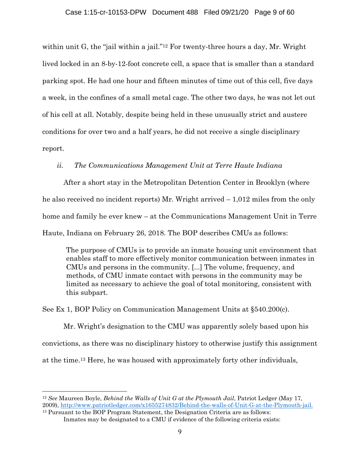within unit G, the "jail within a jail."12 For twenty-three hours a day, Mr. Wright lived locked in an 8-by-12-foot concrete cell, a space that is smaller than a standard parking spot. He had one hour and fifteen minutes of time out of this cell, five days a week, in the confines of a small metal cage. The other two days, he was not let out of his cell at all. Notably, despite being held in these unusually strict and austere conditions for over two and a half years, he did not receive a single disciplinary report.

## *ii. The Communications Management Unit at Terre Haute Indiana*

After a short stay in the Metropolitan Detention Center in Brooklyn (where he also received no incident reports) Mr. Wright arrived  $-1,012$  miles from the only home and family he ever knew – at the Communications Management Unit in Terre Haute, Indiana on February 26, 2018. The BOP describes CMUs as follows:

The purpose of CMUs is to provide an inmate housing unit environment that enables staff to more effectively monitor communication between inmates in CMUs and persons in the community. [...] The volume, frequency, and methods, of CMU inmate contact with persons in the community may be limited as necessary to achieve the goal of total monitoring, consistent with this subpart.

See Ex 1, BOP Policy on Communication Management Units at §540.200(c).

Mr. Wright's designation to the CMU was apparently solely based upon his convictions, as there was no disciplinary history to otherwise justify this assignment at the time.13 Here, he was housed with approximately forty other individuals,

<sup>12</sup> *See* Maureen Boyle, *Behind the Walls of Unit G at the Plymouth Jail*, Patriot Ledger (May 17, 2009), http://www.patriotledger.com/x1655274832/Behind-the-walls-of-Unit-G-at-the-Plymouth-jail.

<sup>13</sup> Pursuant to the BOP Program Statement, the Designation Criteria are as follows: Inmates may be designated to a CMU if evidence of the following criteria exists: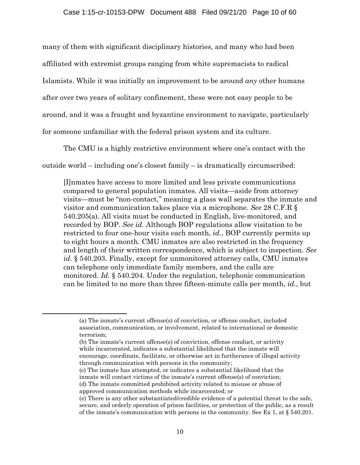many of them with significant disciplinary histories, and many who had been affiliated with extremist groups ranging from white supremacists to radical Islamists. While it was initially an improvement to be around *any* other humans after over two years of solitary confinement, these were not easy people to be around, and it was a fraught and byzantine environment to navigate, particularly for someone unfamiliar with the federal prison system and its culture.

The CMU is a highly restrictive environment where one's contact with the

outside world – including one's closest family – is dramatically circumscribed:

[I]nmates have access to more limited and less private communications compared to general population inmates. All visits—aside from attorney visits—must be "non-contact," meaning a glass wall separates the inmate and visitor and communication takes place via a microphone. *See* 28 C.F.R § 540.205(a). All visits must be conducted in English, live-monitored, and recorded by BOP. *See id.* Although BOP regulations allow visitation to be restricted to four one-hour visits each month, *id.*, BOP currently permits up to eight hours a month. CMU inmates are also restricted in the frequency and length of their written correspondence, which is subject to inspection. *See id.* § 540.203. Finally, except for unmonitored attorney calls, CMU inmates can telephone only immediate family members, and the calls are monitored. *Id.* § 540.204. Under the regulation, telephonic communication can be limited to no more than three fifteen-minute calls per month, *id.*, but

<sup>(</sup>a) The inmate's current offense(s) of conviction, or offense conduct, included association, communication, or involvement, related to international or domestic terrorism;

<sup>(</sup>b) The inmate's current offense(s) of conviction, offense conduct, or activity while incarcerated, indicates a substantial likelihood that the inmate will encourage, coordinate, facilitate, or otherwise act in furtherance of illegal activity through communication with persons in the community;

<sup>(</sup>c) The inmate has attempted, or indicates a substantial likelihood that the inmate will contact victims of the inmate's current offense(s) of conviction; (d) The inmate committed prohibited activity related to misuse or abuse of approved communication methods while incarcerated; or

<sup>(</sup>e) There is any other substantiated/credible evidence of a potential threat to the safe, secure, and orderly operation of prison facilities, or protection of the public, as a result of the inmate's communication with persons in the community. See Ex 1, at  $\S 540.201$ .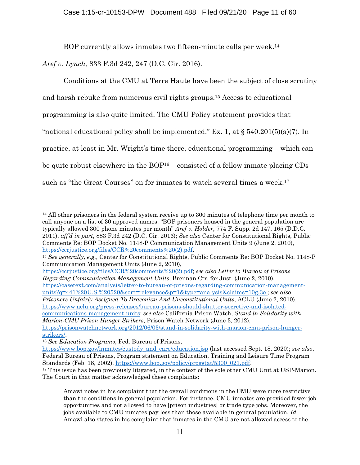BOP currently allows inmates two fifteen-minute calls per week.14

*Aref v. Lynch,* 833 F.3d 242, 247 (D.C. Cir. 2016).

 Conditions at the CMU at Terre Haute have been the subject of close scrutiny and harsh rebuke from numerous civil rights groups.15 Access to educational programming is also quite limited. The CMU Policy statement provides that "national educational policy shall be implemented." Ex. 1, at  $\S$  540.201(5)(a)(7). In practice, at least in Mr. Wright's time there, educational programming – which can be quite robust elsewhere in the BOP16 – consisted of a fellow inmate placing CDs such as "the Great Courses" on for inmates to watch several times a week.<sup>17</sup>

https://casetext.com/analysis/letter-to-bureau-of-prisons-regarding-communication-managementunits?q=441%20U.S.%20520&sort=relevance&p=1&type=analysis&claims=10g,3o ; *see also Prisoners Unfairly Assigned To Draconian And Unconstitutional Units*, ACLU (June 2, 2010),

https://www.aclu.org/press-releases/bureau-prisons-should-shutter-secretive-and-isolatedcommunications-management-units; *see also* California Prison Watch, *Stand in Solidarity with Marion-CMU Prison Hunger Strikers*, Prison Watch Network (June 3, 2012),

<sup>14</sup> All other prisoners in the federal system receive up to 300 minutes of telephone time per month to call anyone on a list of 30 approved names. "BOP prisoners housed in the general population are typically allowed 300 phone minutes per month" *Aref v. Holder*, 774 F. Supp. 2d 147, 165 (D.D.C. 2011), *aff'd in part*, 883 F.3d 242 (D.C. Cir. 2016); *See also* Center for Constitutional Rights, Public Comments Re: BOP Docket No. 1148-P Communication Management Units 9 (June 2, 2010), https://ccrjustice.org/files/CCR%20comments%20(2).pdf. 15 *See generally, e.g.*, Center for Constitutional Rights, Public Comments Re: BOP Docket No. 1148-P

Communication Management Units (June 2, 2010),

https://ccrjustice.org/files/CCR%20comments%20(2).pdf; *see also Letter to Bureau of Prisons Regarding Communication Management Units*, Brennan Ctr. for Just. (June 2, 2010),

https://prisonwatchnetwork.org/2012/06/03/stand-in-solidarity-with-marion-cmu-prison-hungerstrikers/. 16 *See Education Programs*, Fed. Bureau of Prisons,

https://www.bop.gov/inmates/custody\_and\_care/education.jsp (last accessed Sept. 18, 2020); *see also*, Federal Bureau of Prisons, Program statement on Education, Training and Leisure Time Program

Standards (Feb. 18, 2002), https://www.bop.gov/policy/progstat/5300\_021.pdf. 17 This issue has been previously litigated, in the context of the sole other CMU Unit at USP-Marion. The Court in that matter acknowledged these complaints:

Amawi notes in his complaint that the overall conditions in the CMU were more restrictive than the conditions in general population. For instance, CMU inmates are provided fewer job opportunities and not allowed to have [prison industries] or trade type jobs. Moreover, the jobs available to CMU inmates pay less than those available in general population. *Id.* Amawi also states in his complaint that inmates in the CMU are not allowed access to the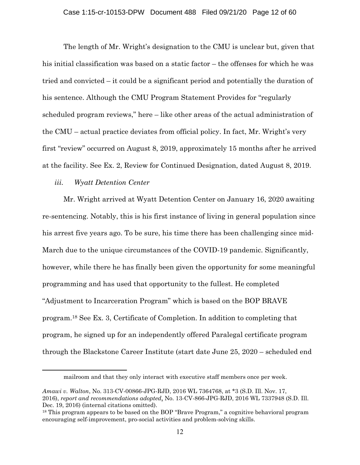The length of Mr. Wright's designation to the CMU is unclear but, given that his initial classification was based on a static factor – the offenses for which he was tried and convicted – it could be a significant period and potentially the duration of his sentence. Although the CMU Program Statement Provides for "regularly scheduled program reviews," here – like other areas of the actual administration of the CMU – actual practice deviates from official policy. In fact, Mr. Wright's very first "review" occurred on August 8, 2019, approximately 15 months after he arrived at the facility. See Ex. 2, Review for Continued Designation, dated August 8, 2019.

### *iii. Wyatt Detention Center*

Mr. Wright arrived at Wyatt Detention Center on January 16, 2020 awaiting re-sentencing. Notably, this is his first instance of living in general population since his arrest five years ago. To be sure, his time there has been challenging since mid-March due to the unique circumstances of the COVID-19 pandemic. Significantly, however, while there he has finally been given the opportunity for some meaningful programming and has used that opportunity to the fullest. He completed "Adjustment to Incarceration Program" which is based on the BOP BRAVE program.18 See Ex. 3, Certificate of Completion. In addition to completing that program, he signed up for an independently offered Paralegal certificate program through the Blackstone Career Institute (start date June 25, 2020 – scheduled end

mailroom and that they only interact with executive staff members once per week.

*Amawi v. Walton*, No. 313-CV-00866-JPG-RJD, 2016 WL 7364768, at \*3 (S.D. Ill. Nov. 17, 2016), *report and recommendations adopted*, No. 13-CV-866-JPG-RJD, 2016 WL 7337948 (S.D. Ill. Dec. 19, 2016) (internal citations omitted).

<sup>&</sup>lt;sup>18</sup> This program appears to be based on the BOP "Brave Program," a cognitive behavioral program encouraging self-improvement, pro-social activities and problem-solving skills.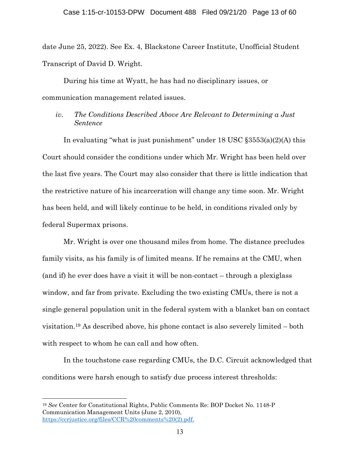date June 25, 2022). See Ex. 4, Blackstone Career Institute, Unofficial Student Transcript of David D. Wright.

During his time at Wyatt, he has had no disciplinary issues, or communication management related issues.

*iv. The Conditions Described Above Are Relevant to Determining a Just Sentence* 

In evaluating "what is just punishment" under 18 USC §3553(a)(2)(A) this Court should consider the conditions under which Mr. Wright has been held over the last five years. The Court may also consider that there is little indication that the restrictive nature of his incarceration will change any time soon. Mr. Wright has been held, and will likely continue to be held, in conditions rivaled only by federal Supermax prisons.

Mr. Wright is over one thousand miles from home. The distance precludes family visits, as his family is of limited means. If he remains at the CMU, when (and if) he ever does have a visit it will be non-contact – through a plexiglass window, and far from private. Excluding the two existing CMUs, there is not a single general population unit in the federal system with a blanket ban on contact visitation.19 As described above, his phone contact is also severely limited – both with respect to whom he can call and how often.

 In the touchstone case regarding CMUs, the D.C. Circuit acknowledged that conditions were harsh enough to satisfy due process interest thresholds:

<sup>19</sup> *See* Center for Constitutional Rights, Public Comments Re: BOP Docket No. 1148-P Communication Management Units (June 2, 2010), https://ccrjustice.org/files/CCR%20comments%20(2).pdf.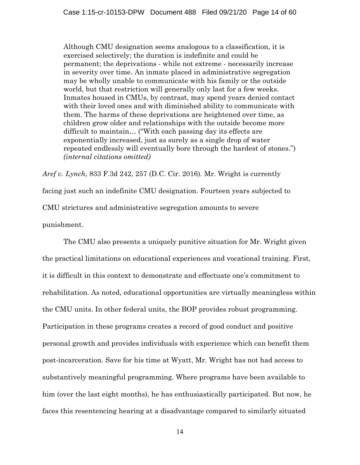Although CMU designation seems analogous to a classification, it is exercised selectively; the duration is indefinite and could be permanent; the deprivations - while not extreme - necessarily increase in severity over time. An inmate placed in administrative segregation may be wholly unable to communicate with his family or the outside world, but that restriction will generally only last for a few weeks. Inmates housed in CMUs, by contrast, may spend years denied contact with their loved ones and with diminished ability to communicate with them. The harms of these deprivations are heightened over time, as children grow older and relationships with the outside become more difficult to maintain… ("With each passing day its effects are exponentially increased, just as surely as a single drop of water repeated endlessly will eventually bore through the hardest of stones.") *(internal citations omitted)*

*Aref v. Lynch*, 833 F.3d 242, 257 (D.C. Cir. 2016). Mr. Wright is currently facing just such an indefinite CMU designation. Fourteen years subjected to CMU strictures and administrative segregation amounts to severe punishment.

The CMU also presents a uniquely punitive situation for Mr. Wright given the practical limitations on educational experiences and vocational training. First, it is difficult in this context to demonstrate and effectuate one's commitment to rehabilitation. As noted, educational opportunities are virtually meaningless within the CMU units. In other federal units, the BOP provides robust programming. Participation in these programs creates a record of good conduct and positive personal growth and provides individuals with experience which can benefit them post-incarceration. Save for his time at Wyatt, Mr. Wright has not had access to substantively meaningful programming. Where programs have been available to him (over the last eight months), he has enthusiastically participated. But now, he faces this resentencing hearing at a disadvantage compared to similarly situated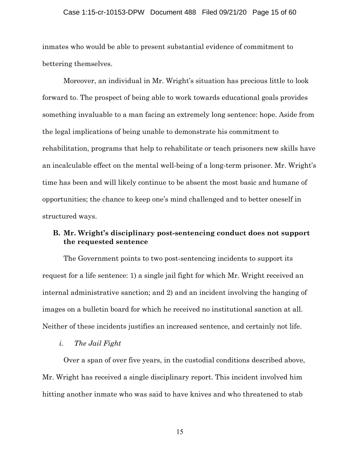### Case 1:15-cr-10153-DPW Document 488 Filed 09/21/20 Page 15 of 60

inmates who would be able to present substantial evidence of commitment to bettering themselves.

Moreover, an individual in Mr. Wright's situation has precious little to look forward to. The prospect of being able to work towards educational goals provides something invaluable to a man facing an extremely long sentence: hope. Aside from the legal implications of being unable to demonstrate his commitment to rehabilitation, programs that help to rehabilitate or teach prisoners new skills have an incalculable effect on the mental well-being of a long-term prisoner. Mr. Wright's time has been and will likely continue to be absent the most basic and humane of opportunities; the chance to keep one's mind challenged and to better oneself in structured ways.

## **B. Mr. Wright's disciplinary post-sentencing conduct does not support the requested sentence**

The Government points to two post-sentencing incidents to support its request for a life sentence: 1) a single jail fight for which Mr. Wright received an internal administrative sanction; and 2) and an incident involving the hanging of images on a bulletin board for which he received no institutional sanction at all. Neither of these incidents justifies an increased sentence, and certainly not life.

*i. The Jail Fight* 

Over a span of over five years, in the custodial conditions described above, Mr. Wright has received a single disciplinary report. This incident involved him hitting another inmate who was said to have knives and who threatened to stab

15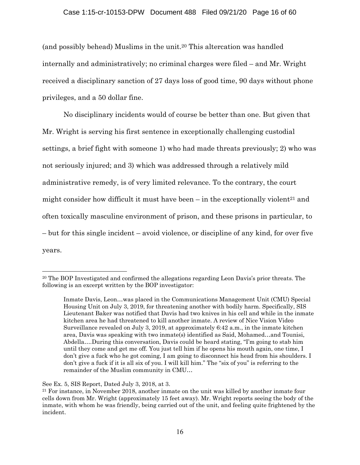### Case 1:15-cr-10153-DPW Document 488 Filed 09/21/20 Page 16 of 60

(and possibly behead) Muslims in the unit.20 This altercation was handled internally and administratively; no criminal charges were filed – and Mr. Wright received a disciplinary sanction of 27 days loss of good time, 90 days without phone privileges, and a 50 dollar fine.

No disciplinary incidents would of course be better than one. But given that Mr. Wright is serving his first sentence in exceptionally challenging custodial settings, a brief fight with someone 1) who had made threats previously; 2) who was not seriously injured; and 3) which was addressed through a relatively mild administrative remedy, is of very limited relevance. To the contrary, the court might consider how difficult it must have been  $-$  in the exceptionally violent<sup>21</sup> and often toxically masculine environment of prison, and these prisons in particular, to – but for this single incident – avoid violence, or discipline of any kind, for over five years.

<sup>&</sup>lt;sup>20</sup> The BOP Investigated and confirmed the allegations regarding Leon Davis's prior threats. The following is an excerpt written by the BOP investigator:

Inmate Davis, Leon…was placed in the Communications Management Unit (CMU) Special Housing Unit on July 3, 2019, for threatening another with bodily harm. Specifically, SIS Lieutenant Baker was notified that Davis had two knives in his cell and while in the inmate kitchen area he had threatened to kill another inmate. A review of Nice Vision Video Surveillance revealed on July 3, 2019, at approximately 6:42 a.m., in the inmate kitchen area, Davis was speaking with two inmate(s) identified as Said, Mohamed…and Tounisi, Abdella….During this conversation, Davis could be heard stating, "I'm going to stab him until they come and get me off. You just tell him if he opens his mouth again, one time, I don't give a fuck who he got coming, I am going to disconnect his head from his shoulders. I don't give a fuck if it is all six of you. I will kill him." The "six of you" is referring to the remainder of the Muslim community in CMU…

See Ex. 5, SIS Report, Dated July 3, 2018, at 3.

<sup>21</sup> For instance, in November 2018, another inmate on the unit was killed by another inmate four cells down from Mr. Wright (approximately 15 feet away). Mr. Wright reports seeing the body of the inmate, with whom he was friendly, being carried out of the unit, and feeling quite frightened by the incident.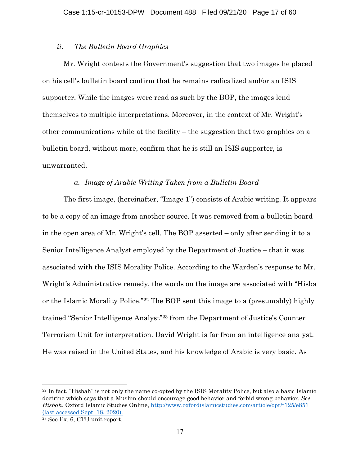### *ii. The Bulletin Board Graphics*

Mr. Wright contests the Government's suggestion that two images he placed on his cell's bulletin board confirm that he remains radicalized and/or an ISIS supporter. While the images were read as such by the BOP, the images lend themselves to multiple interpretations. Moreover, in the context of Mr. Wright's other communications while at the facility – the suggestion that two graphics on a bulletin board, without more, confirm that he is still an ISIS supporter, is unwarranted.

## *a. Image of Arabic Writing Taken from a Bulletin Board*

The first image, (hereinafter, "Image 1") consists of Arabic writing. It appears to be a copy of an image from another source. It was removed from a bulletin board in the open area of Mr. Wright's cell. The BOP asserted – only after sending it to a Senior Intelligence Analyst employed by the Department of Justice – that it was associated with the ISIS Morality Police. According to the Warden's response to Mr. Wright's Administrative remedy, the words on the image are associated with "Hisba or the Islamic Morality Police."22 The BOP sent this image to a (presumably) highly trained "Senior Intelligence Analyst"23 from the Department of Justice's Counter Terrorism Unit for interpretation. David Wright is far from an intelligence analyst. He was raised in the United States, and his knowledge of Arabic is very basic. As

<sup>22</sup> In fact, "Hisbah" is not only the name co-opted by the ISIS Morality Police, but also a basic Islamic doctrine which says that a Muslim should encourage good behavior and forbid wrong behavior. *See Hisbah*, Oxford Islamic Studies Online, http://www.oxfordislamicstudies.com/article/opr/t125/e851 (last accessed Sept. 18, 2020).

<sup>23</sup> See Ex. 6, CTU unit report.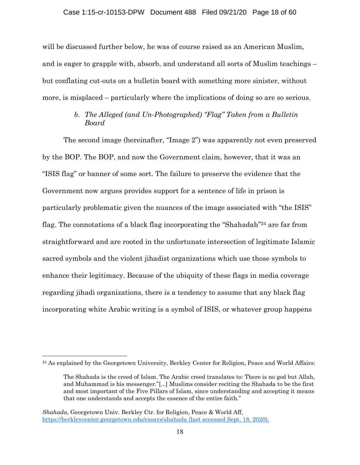will be discussed further below, he was of course raised as an American Muslim, and is eager to grapple with, absorb, and understand all sorts of Muslim teachings – but conflating cut-outs on a bulletin board with something more sinister, without more, is misplaced – particularly where the implications of doing so are so serious.

# *b. The Alleged (and Un-Photographed) "Flag" Taken from a Bulletin Board*

The second image (hereinafter, "Image 2") was apparently not even preserved by the BOP. The BOP, and now the Government claim, however, that it was an "ISIS flag" or banner of some sort. The failure to preserve the evidence that the Government now argues provides support for a sentence of life in prison is particularly problematic given the nuances of the image associated with "the ISIS" flag. The connotations of a black flag incorporating the "Shahadah"<sup>24</sup> are far from straightforward and are rooted in the unfortunate intersection of legitimate Islamic sacred symbols and the violent jihadist organizations which use those symbols to enhance their legitimacy. Because of the ubiquity of these flags in media coverage regarding jihadi organizations, there is a tendency to assume that any black flag incorporating white Arabic writing is a symbol of ISIS, or whatever group happens

<sup>&</sup>lt;sup>24</sup> As explained by the Georgetown University, Berkley Center for Religion, Peace and World Affairs:

The Shahada is the creed of Islam. The Arabic creed translates to: There is no god but Allah, and Muhammad is his messenger."[...] Muslims consider reciting the Shahada to be the first and most important of the Five Pillars of Islam, since understanding and accepting it means that one understands and accepts the essence of the entire faith."

*Shahada*, Georgetown Univ. Berkley Ctr. for Religion, Peace & World Aff, https://berkleycenter.georgetown.edu/essays/shahada (last accessed Sept. 18, 2020).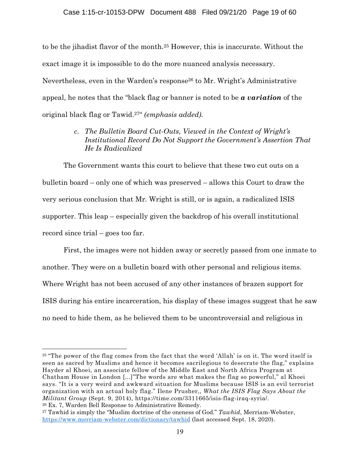to be the jihadist flavor of the month.25 However, this is inaccurate. Without the exact image it is impossible to do the more nuanced analysis necessary. Nevertheless, even in the Warden's response26 to Mr. Wright's Administrative appeal, he notes that the "black flag or banner is noted to be *a variation* of the original black flag or Tawid.27" *(emphasis added).*

# *c. The Bulletin Board Cut-Outs, Viewed in the Context of Wright's Institutional Record Do Not Support the Government's Assertion That He Is Radicalized*

 The Government wants this court to believe that these two cut outs on a bulletin board – only one of which was preserved – allows this Court to draw the very serious conclusion that Mr. Wright is still, or is again, a radicalized ISIS supporter. This leap – especially given the backdrop of his overall institutional record since trial – goes too far.

First, the images were not hidden away or secretly passed from one inmate to another. They were on a bulletin board with other personal and religious items. Where Wright has not been accused of any other instances of brazen support for ISIS during his entire incarceration, his display of these images suggest that he saw no need to hide them, as he believed them to be uncontroversial and religious in

<sup>25</sup> "The power of the flag comes from the fact that the word 'Allah' is on it. The word itself is seen as sacred by Muslims and hence it becomes sacrilegious to desecrate the flag," explains Hayder al Khoei, an associate fellow of the Middle East and North Africa Program at Chatham House in London [...]"The words are what makes the flag so powerful," al Khoei says. "It is a very weird and awkward situation for Muslims because ISIS is an evil terrorist organization with an actual holy flag." Ilene Prusher,, *What the ISIS Flag Says About the Militant Group* (Sept. 9, 2014), https://time.com/3311665/isis-flag-iraq-syria/. 26 Ex. 7, Warden Bell Response to Administrative Remedy.

<sup>27</sup> Tawhid is simply the "Muslim doctrine of the oneness of God." *Tawhid*, Merriam-Webster, https://www.merriam-webster.com/dictionary/tawhid (last accessed Sept. 18, 2020).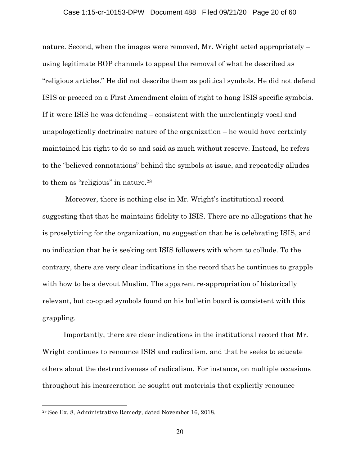### Case 1:15-cr-10153-DPW Document 488 Filed 09/21/20 Page 20 of 60

nature. Second, when the images were removed, Mr. Wright acted appropriately – using legitimate BOP channels to appeal the removal of what he described as "religious articles." He did not describe them as political symbols. He did not defend ISIS or proceed on a First Amendment claim of right to hang ISIS specific symbols. If it were ISIS he was defending – consistent with the unrelentingly vocal and unapologetically doctrinaire nature of the organization – he would have certainly maintained his right to do so and said as much without reserve. Instead, he refers to the "believed connotations" behind the symbols at issue, and repeatedly alludes to them as "religious" in nature.28

 Moreover, there is nothing else in Mr. Wright's institutional record suggesting that that he maintains fidelity to ISIS. There are no allegations that he is proselytizing for the organization, no suggestion that he is celebrating ISIS, and no indication that he is seeking out ISIS followers with whom to collude. To the contrary, there are very clear indications in the record that he continues to grapple with how to be a devout Muslim. The apparent re-appropriation of historically relevant, but co-opted symbols found on his bulletin board is consistent with this grappling.

Importantly, there are clear indications in the institutional record that Mr. Wright continues to renounce ISIS and radicalism, and that he seeks to educate others about the destructiveness of radicalism. For instance, on multiple occasions throughout his incarceration he sought out materials that explicitly renounce

<sup>28</sup> See Ex. 8, Administrative Remedy, dated November 16, 2018.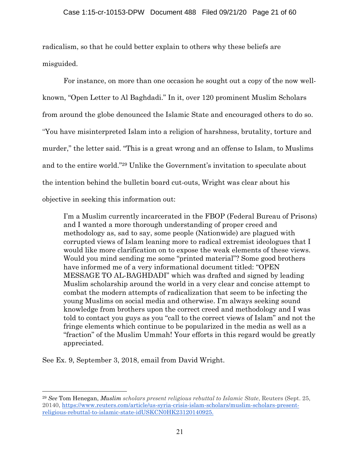radicalism, so that he could better explain to others why these beliefs are misguided.

For instance, on more than one occasion he sought out a copy of the now wellknown, "Open Letter to Al Baghdadi." In it, over 120 prominent Muslim Scholars from around the globe denounced the Islamic State and encouraged others to do so. "You have misinterpreted Islam into a religion of harshness, brutality, torture and murder," the letter said. "This is a great wrong and an offense to Islam, to Muslims and to the entire world."29 Unlike the Government's invitation to speculate about the intention behind the bulletin board cut-outs, Wright was clear about his objective in seeking this information out:

I'm a Muslim currently incarcerated in the FBOP (Federal Bureau of Prisons) and I wanted a more thorough understanding of proper creed and methodology as, sad to say, some people (Nationwide) are plagued with corrupted views of Islam leaning more to radical extremist ideologues that I would like more clarification on to expose the weak elements of these views. Would you mind sending me some "printed material"? Some good brothers have informed me of a very informational document titled: "OPEN MESSAGE TO AL-BAGHDADI" which was drafted and signed by leading Muslim scholarship around the world in a very clear and concise attempt to combat the modern attempts of radicalization that seem to be infecting the young Muslims on social media and otherwise. I'm always seeking sound knowledge from brothers upon the correct creed and methodology and I was told to contact you guys as you "call to the correct views of Islam" and not the fringe elements which continue to be popularized in the media as well as a "fraction" of the Muslim Ummah! Your efforts in this regard would be greatly appreciated.

See Ex. 9, September 3, 2018, email from David Wright.

<sup>29</sup> *See* Tom Henegan, *Muslim scholars present religious rebuttal to Islamic State*, Reuters (Sept. 25, 20140, https://www.reuters.com/article/us-syria-crisis-islam-scholars/muslim-scholars-presentreligious-rebuttal-to-islamic-state-idUSKCN0HK23120140925.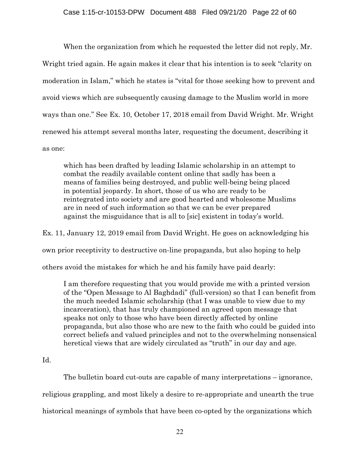When the organization from which he requested the letter did not reply, Mr. Wright tried again. He again makes it clear that his intention is to seek "clarity on moderation in Islam," which he states is "vital for those seeking how to prevent and avoid views which are subsequently causing damage to the Muslim world in more ways than one." See Ex. 10, October 17, 2018 email from David Wright. Mr. Wright renewed his attempt several months later, requesting the document, describing it as one:

which has been drafted by leading Islamic scholarship in an attempt to combat the readily available content online that sadly has been a means of families being destroyed, and public well-being being placed in potential jeopardy. In short, those of us who are ready to be reintegrated into society and are good hearted and wholesome Muslims are in need of such information so that we can be ever prepared against the misguidance that is all to [sic] existent in today's world.

Ex. 11, January 12, 2019 email from David Wright. He goes on acknowledging his own prior receptivity to destructive on-line propaganda, but also hoping to help others avoid the mistakes for which he and his family have paid dearly:

I am therefore requesting that you would provide me with a printed version of the "Open Message to Al Baghdadi" (full-version) so that I can benefit from the much needed Islamic scholarship (that I was unable to view due to my incarceration), that has truly championed an agreed upon message that speaks not only to those who have been directly affected by online propaganda, but also those who are new to the faith who could be guided into correct beliefs and valued principles and not to the overwhelming nonsensical heretical views that are widely circulated as "truth" in our day and age.

## Id.

The bulletin board cut-outs are capable of many interpretations – ignorance, religious grappling, and most likely a desire to re-appropriate and unearth the true historical meanings of symbols that have been co-opted by the organizations which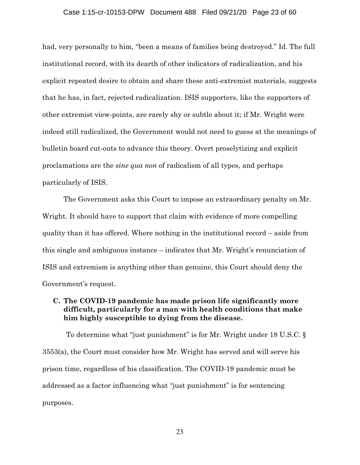### Case 1:15-cr-10153-DPW Document 488 Filed 09/21/20 Page 23 of 60

had, very personally to him, "been a means of families being destroyed." Id. The full institutional record, with its dearth of other indicators of radicalization, and his explicit repeated desire to obtain and share these anti-extremist materials, suggests that he has, in fact, rejected radicalization. ISIS supporters, like the supporters of other extremist view-points, are rarely shy or subtle about it; if Mr. Wright were indeed still radicalized, the Government would not need to guess at the meanings of bulletin board cut-outs to advance this theory. Overt proselytizing and explicit proclamations are the *sine qua non* of radicalism of all types, and perhaps particularly of ISIS.

The Government asks this Court to impose an extraordinary penalty on Mr. Wright. It should have to support that claim with evidence of more compelling quality than it has offered. Where nothing in the institutional record – aside from this single and ambiguous instance – indicates that Mr. Wright's renunciation of ISIS and extremism is anything other than genuine, this Court should deny the Government's request.

## **C. The COVID-19 pandemic has made prison life significantly more difficult, particularly for a man with health conditions that make him highly susceptible to dying from the disease.**

To determine what "just punishment" is for Mr. Wright under 18 U.S.C. § 3553(a), the Court must consider how Mr. Wright has served and will serve his prison time, regardless of his classification. The COVID-19 pandemic must be addressed as a factor influencing what "just punishment" is for sentencing purposes.

23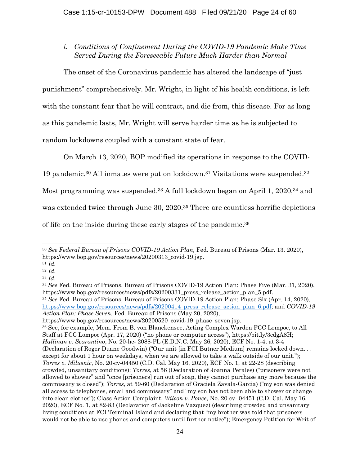*i. Conditions of Confinement During the COVID-19 Pandemic Make Time Served During the Foreseeable Future Much Harder than Normal* 

The onset of the Coronavirus pandemic has altered the landscape of "just punishment" comprehensively. Mr. Wright, in light of his health conditions, is left with the constant fear that he will contract, and die from, this disease. For as long as this pandemic lasts, Mr. Wright will serve harder time as he is subjected to random lockdowns coupled with a constant state of fear.

On March 13, 2020, BOP modified its operations in response to the COVID-

19 pandemic.30 All inmates were put on lockdown.31 Visitations were suspended.32

Most programming was suspended.<sup>33</sup> A full lockdown began on April 1, 2020,<sup>34</sup> and

was extended twice through June 30, 2020.<sup>35</sup> There are countless horrific depictions

of life on the inside during these early stages of the pandemic.36

<sup>31</sup> *Id.*

https://www.bop.gov/resources/news/pdfs/20200414\_press\_release\_action\_plan\_6.pdf; and *COVID-19 Action Plan: Phase Seven*, Fed. Bureau of Prisons (May 20, 2020),

https://www.bop.gov/resources/news/20200520\_covid-19\_phase\_seven.jsp.

<sup>30</sup> *See Federal Bureau of Prisons COVID-19 Action Plan,* Fed. Bureau of Prisons (Mar. 13, 2020), https://www.bop.gov/resources/news/20200313\_covid-19.jsp.

<sup>32</sup> *Id.*

<sup>33</sup> *Id.*

<sup>34</sup> *See* Fed. Bureau of Prisons, Bureau of Prisons COVID-19 Action Plan: Phase Five (Mar. 31, 2020), https://www.bop.gov/resources/news/pdfs/20200331\_press\_release\_action\_plan\_5.pdf. <sup>35</sup> *See* Fed. Bureau of Prisons, Bureau of Prisons COVID-19 Action Plan: Phase Six (Apr. 14, 2020),

<sup>36</sup> See, for example, Mem. From B. von Blanckensee, Acting Complex Warden FCC Lompoc, to All Staff at FCC Lompoc (Apr. 17, 2020) ("no phone or computer access"), https://bit.ly/3cdgA8H; *Hallinan v. Scarantino*, No. 20-hc- 2088-FL (E.D.N.C. May 26, 2020), ECF No. 1-4, at 3-4 (Declaration of Roger Duane Goodwin) ("Our unit [in FCI Butner Medium] remains locked down. . . except for about 1 hour on weekdays, when we are allowed to take a walk outside of our unit."); *Torres v. Milusnic*, No. 20-cv-04450 (C.D. Cal. May 16, 2020), ECF No. 1, at 22-28 (describing crowded, unsanitary conditions); *Torres*, at 56 (Declaration of Joanna Perales) ("prisoners were not allowed to shower" and "once [prisoners] run out of soap, they cannot purchase any more because the commissary is closed"); *Torres,* at 59-60 (Declaration of Graciela Zavala-Garcia) ("my son was denied all access to telephones, email and commissary" and "my son has not been able to shower or change into clean clothes"); Class Action Complaint, *Wilson v. Ponce*, No. 20-cv- 04451 (C.D. Cal. May 16, 2020), ECF No. 1, at 82-83 (Declaration of Jackeline Vazquez) (describing crowded and unsanitary living conditions at FCI Terminal Island and declaring that "my brother was told that prisoners would not be able to use phones and computers until further notice"); Emergency Petition for Writ of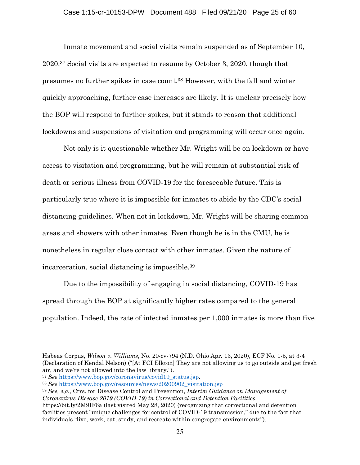Inmate movement and social visits remain suspended as of September 10, 2020.37 Social visits are expected to resume by October 3, 2020, though that presumes no further spikes in case count.38 However, with the fall and winter quickly approaching, further case increases are likely. It is unclear precisely how the BOP will respond to further spikes, but it stands to reason that additional lockdowns and suspensions of visitation and programming will occur once again.

 Not only is it questionable whether Mr. Wright will be on lockdown or have access to visitation and programming, but he will remain at substantial risk of death or serious illness from COVID-19 for the foreseeable future. This is particularly true where it is impossible for inmates to abide by the CDC's social distancing guidelines. When not in lockdown, Mr. Wright will be sharing common areas and showers with other inmates. Even though he is in the CMU, he is nonetheless in regular close contact with other inmates. Given the nature of incarceration, social distancing is impossible.39

 Due to the impossibility of engaging in social distancing, COVID-19 has spread through the BOP at significantly higher rates compared to the general population. Indeed, the rate of infected inmates per 1,000 inmates is more than five

Habeas Corpus, *Wilson v. Williams*, No. 20-cv-794 (N.D. Ohio Apr. 13, 2020), ECF No. 1-5, at 3-4 (Declaration of Kendal Nelson) ("[At FCI Elkton] They are not allowing us to go outside and get fresh air, and we're not allowed into the law library.").

<sup>&</sup>lt;sup>37</sup> *See* https://www.bop.gov/coronavirus/covid19\_status.jsp. 38 *See* https://www.bop.gov/resources/news/20200902\_visitation.jsp

<sup>39</sup> *See, e.g.*, Ctrs. for Disease Control and Prevention, *Interim Guidance on Management of Coronavirus Disease 2019 (COVID-19) in Correctional and Detention Facilities*,

https://bit.ly/2M9IF6a (last visited May 28, 2020) (recognizing that correctional and detention facilities present "unique challenges for control of COVID-19 transmission," due to the fact that individuals "live, work, eat, study, and recreate within congregate environments").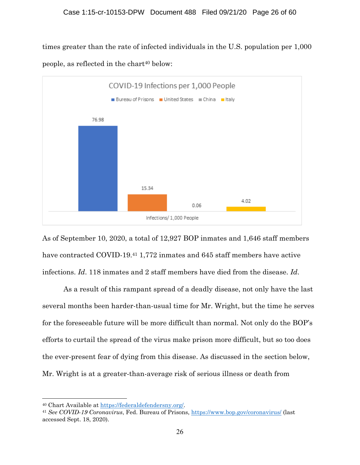times greater than the rate of infected individuals in the U.S. population per 1,000 people, as reflected in the chart<sup>40</sup> below:



As of September 10, 2020, a total of 12,927 BOP inmates and 1,646 staff members have contracted COVID-19.41 1,772 inmates and 645 staff members have active infections. *Id*. 118 inmates and 2 staff members have died from the disease. *Id*.

 As a result of this rampant spread of a deadly disease, not only have the last several months been harder-than-usual time for Mr. Wright, but the time he serves for the foreseeable future will be more difficult than normal. Not only do the BOP's efforts to curtail the spread of the virus make prison more difficult, but so too does the ever-present fear of dying from this disease. As discussed in the section below, Mr. Wright is at a greater-than-average risk of serious illness or death from

<sup>40</sup> Chart Available at https://federaldefendersny.org/. 41 *See COVID-19 Coronavirus*, Fed. Bureau of Prisons, https://www.bop.gov/coronavirus/ (last accessed Sept. 18, 2020).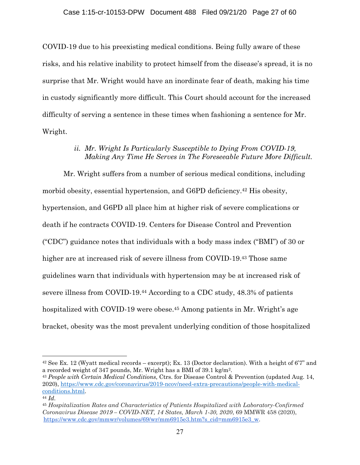COVID-19 due to his preexisting medical conditions. Being fully aware of these risks, and his relative inability to protect himself from the disease's spread, it is no surprise that Mr. Wright would have an inordinate fear of death, making his time in custody significantly more difficult. This Court should account for the increased difficulty of serving a sentence in these times when fashioning a sentence for Mr. Wright.

# *ii. Mr. Wright Is Particularly Susceptible to Dying From COVID-19, Making Any Time He Serves in The Foreseeable Future More Difficult.*

Mr. Wright suffers from a number of serious medical conditions, including morbid obesity, essential hypertension, and G6PD deficiency.42 His obesity, hypertension, and G6PD all place him at higher risk of severe complications or death if he contracts COVID-19. Centers for Disease Control and Prevention ("CDC") guidance notes that individuals with a body mass index ("BMI") of 30 or higher are at increased risk of severe illness from COVID-19.<sup>43</sup> Those same guidelines warn that individuals with hypertension may be at increased risk of severe illness from COVID-19.44 According to a CDC study, 48.3% of patients hospitalized with COVID-19 were obese.<sup>45</sup> Among patients in Mr. Wright's age bracket, obesity was the most prevalent underlying condition of those hospitalized

<sup>42</sup> See Ex. 12 (Wyatt medical records – excerpt); Ex. 13 (Doctor declaration). With a height of 6'7" and a recorded weight of 347 pounds, Mr. Wright has a BMI of 39.1 kg/m2. 43 *People with Certain Medical Conditions*, Ctrs. for Disease Control & Prevention (updated Aug. 14,

<sup>2020),</sup> https://www.cdc.gov/coronavirus/2019-ncov/need-extra-precautions/people-with-medicalconditions.html. 44 *Id.*

<sup>45</sup> *Hospitalization Rates and Characteristics of Patients Hospitalized with Laboratory-Confirmed Coronavirus Disease 2019 – COVID-NET, 14 States, March 1-30, 2020*, 69 MMWR 458 (2020), https://www.cdc.gov/mmwr/volumes/69/wr/mm6915e3.htm?s\_cid=mm6915e3\_w.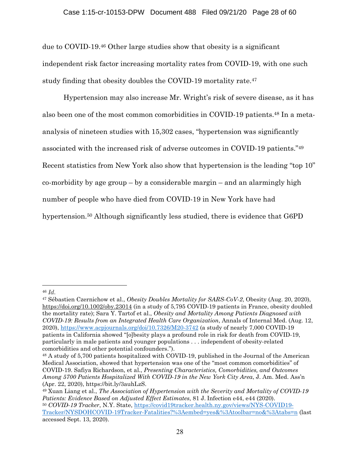### Case 1:15-cr-10153-DPW Document 488 Filed 09/21/20 Page 28 of 60

due to COVID-19.46 Other large studies show that obesity is a significant independent risk factor increasing mortality rates from COVID-19, with one such study finding that obesity doubles the COVID-19 mortality rate.<sup>47</sup>

Hypertension may also increase Mr. Wright's risk of severe disease, as it has also been one of the most common comorbidities in COVID-19 patients.48 In a metaanalysis of nineteen studies with 15,302 cases, "hypertension was significantly associated with the increased risk of adverse outcomes in COVID-19 patients."49 Recent statistics from New York also show that hypertension is the leading "top 10" co-morbidity by age group  $-$  by a considerable margin  $-$  and an alarmingly high number of people who have died from COVID-19 in New York have had hypertension.<sup>50</sup> Although significantly less studied, there is evidence that G6PD

<sup>46</sup> *Id.*

<sup>47</sup> Sébastien Czernichow et al., *Obesity Doubles Mortality for SARS-CoV-2*, Obesity (Aug. 20, 2020), https://doi.org/10.1002/oby.23014 (in a study of 5,795 COVID-19 patients in France, obesity doubled the mortality rate); Sara Y. Tartof et al., *Obesity and Mortality Among Patients Diagnosed with COVID-19: Results from an Integrated Health Care Organization*, Annals of Internal Med. (Aug. 12, 2020), https://www.acpjournals.org/doi/10.7326/M20-3742 (a study of nearly 7,000 COVID-19 patients in California showed "[o]besity plays a profound role in risk for death from COVID-19, particularly in male patients and younger populations . . . independent of obesity-related comorbidities and other potential confounders.").

<sup>48</sup> A study of 5,700 patients hospitalized with COVID-19, published in the Journal of the American Medical Association, showed that hypertension was one of the "most common comorbidities" of COVID-19. Safiya Richardson, et al., *Presenting Characteristics, Comorbidities, and Outcomes Among 5700 Patients Hospitalized With COVID-19 in the New York City Area*, J. Am. Med. Ass'n (Apr. 22, 2020), https://bit.ly/3auhLzS.

<sup>49</sup> Xuan Liang et al., *The Association of Hypertension with the Severity and Mortality of COVID-19 Patients: Evidence Based on Adjusted Effect Estimates*, 81 J. Infection e44, e44 (2020). <sup>50</sup> *COVID-19 Tracker*, N.Y. State, https://covid19tracker.health.ny.gov/views/NYS-COVID19- Tracker/NYSDOHCOVID-19Tracker-Fatalities?%3Aembed=yes&%3Atoolbar=no&%3Atabs=n (last accessed Sept. 13, 2020).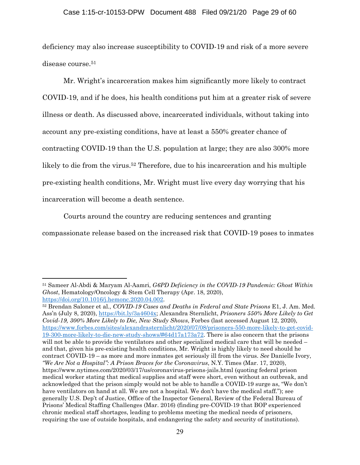### Case 1:15-cr-10153-DPW Document 488 Filed 09/21/20 Page 29 of 60

deficiency may also increase susceptibility to COVID-19 and risk of a more severe disease course.<sup>51</sup>

Mr. Wright's incarceration makes him significantly more likely to contract COVID-19, and if he does, his health conditions put him at a greater risk of severe illness or death. As discussed above, incarcerated individuals, without taking into account any pre-existing conditions, have at least a 550% greater chance of contracting COVID-19 than the U.S. population at large; they are also 300% more likely to die from the virus.52 Therefore, due to his incarceration and his multiple pre-existing health conditions, Mr. Wright must live every day worrying that his incarceration will become a death sentence.

Courts around the country are reducing sentences and granting

compassionate release based on the increased risk that COVID-19 poses to inmates

<sup>51</sup> Sameer Al-Abdi & Maryam Al-Aamri, *G6PD Deficiency in the COVID-19 Pandemic: Ghost Within Ghost*, Hematology/Oncology & Stem Cell Therapy (Apr. 18, 2020),

https://doi.org/10.1016/j.hemonc.2020.04.002. 52 Brendan Saloner et al., *COVID-19 Cases and Deaths in Federal and State Prisons* E1, J. Am. Med. Ass'n (July 8, 2020), https://bit.ly/3a4604x; Alexandra Sternlicht, *Prisoners 550% More Likely to Get Covid-19, 300% More Likely to Die, New Study Shows*, Forbes (last accessed August 12, 2020), https://www.forbes.com/sites/alexandrasternlicht/2020/07/08/prisoners-550-more-likely-to-get-covid-19-300-more-likely-to-die-new-study-shows/#64d17a173a72. There is also concern that the prisons will not be able to provide the ventilators and other specialized medical care that will be needed – and that, given his pre-existing health conditions, Mr. Wright is highly likely to need should he contract COVID-19 – as more and more inmates get seriously ill from the virus. *See* Danielle Ivory, *"We Are Not a Hospital": A Prison Braces for the Coronavirus*, N.Y. Times (Mar. 17, 2020), https://www.nytimes.com/2020/03/17/us/coronavirus-prisons-jails.html (quoting federal prison medical worker stating that medical supplies and staff were short, even without an outbreak, and acknowledged that the prison simply would not be able to handle a COVID-19 surge as, "We don't have ventilators on hand at all. We are not a hospital. We don't have the medical staff."); see generally U.S. Dep't of Justice, Office of the Inspector General, Review of the Federal Bureau of Prisons' Medical Staffing Challenges (Mar. 2016) (finding pre-COVID-19 that BOP experienced chronic medical staff shortages, leading to problems meeting the medical needs of prisoners, requiring the use of outside hospitals, and endangering the safety and security of institutions).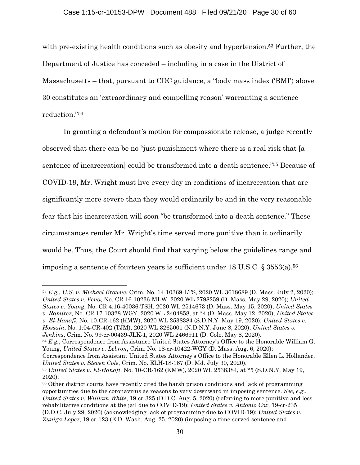### Case 1:15-cr-10153-DPW Document 488 Filed 09/21/20 Page 30 of 60

with pre-existing health conditions such as obesity and hypertension.<sup>53</sup> Further, the Department of Justice has conceded – including in a case in the District of Massachusetts – that, pursuant to CDC guidance, a "body mass index ('BMI') above 30 constitutes an 'extraordinary and compelling reason' warranting a sentence reduction."54

In granting a defendant's motion for compassionate release, a judge recently observed that there can be no "just punishment where there is a real risk that [a sentence of incarceration] could be transformed into a death sentence."55 Because of COVID-19, Mr. Wright must live every day in conditions of incarceration that are significantly more severe than they would ordinarily be and in the very reasonable fear that his incarceration will soon "be transformed into a death sentence." These circumstances render Mr. Wright's time served more punitive than it ordinarily would be. Thus, the Court should find that varying below the guidelines range and imposing a sentence of fourteen years is sufficient under 18 U.S.C. § 3553(a).<sup>56</sup>

<sup>54</sup> *E.g.*, Correspondence from Assistance United States Attorney's Office to the Honorable William G. Young, *United States v. Lebron*, Crim. No. 18-cr-10422-WGY (D. Mass. Aug. 6, 2020);

Correspondence from Assistant United States Attorney's Office to the Honorable Ellen L. Hollander, *United States v. Steven Cole*, Crim. No. ELH-18-167 (D. Md. July 30, 2020).

<sup>53</sup> *E.g.*, *U.S. v. Michael Browne*, Crim. No. 14-10369-LTS, 2020 WL 3618689 (D. Mass. July 2, 2020); *United States v. Pena*, No. CR 16-10236-MLW, 2020 WL 2798259 (D. Mass. May 29, 2020); *United States v. Young*, No. CR 4:16-40036-TSH, 2020 WL 2514673 (D. Mass. May 15, 2020); *United States v. Ramirez*, No. CR 17-10328-WGY, 2020 WL 2404858, at \*4 (D. Mass. May 12, 2020); *United States v. El-Hanafi*, No. 10-CR-162 (KMW), 2020 WL 2538384 (S.D.N.Y. May 19, 2020); *United States v. Hossain*, No. 1:04-CR-402 (TJM), 2020 WL 3265001 (N.D.N.Y. June 8, 2020); *United States v. Jenkins*, Crim. No. 99-cr-00439-JLK-1, 2020 WL 2466911 (D. Colo. May 8, 2020).

<sup>55</sup> *United States v. El-Hanafi*, No. 10-CR-162 (KMW), 2020 WL 2538384, at \*5 (S.D.N.Y. May 19, 2020).

<sup>56</sup> Other district courts have recently cited the harsh prison conditions and lack of programming opportunities due to the coronavirus as reasons to vary downward in imposing sentence. *See, e.g.*, *United States v. William White*, 19-cr-325 (D.D.C. Aug. 5, 2020) (referring to more punitive and less rehabilitative conditions at the jail due to COVID-19); *United States v. Antonio Cox*, 19-cr-235 (D.D.C. July 29, 2020) (acknowledging lack of programming due to COVID-19); *United States v. Zuniga-Lopez*, 19-cr-123 (E.D. Wash. Aug. 25, 2020) (imposing a time served sentence and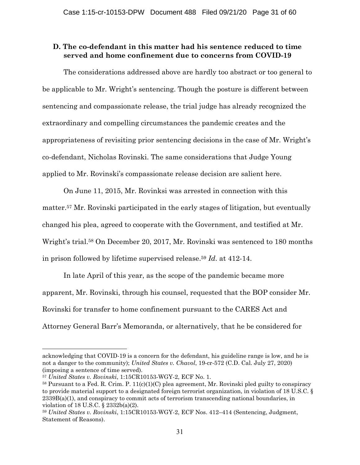### **D. The co-defendant in this matter had his sentence reduced to time served and home confinement due to concerns from COVID-19**

The considerations addressed above are hardly too abstract or too general to be applicable to Mr. Wright's sentencing. Though the posture is different between sentencing and compassionate release, the trial judge has already recognized the extraordinary and compelling circumstances the pandemic creates and the appropriateness of revisiting prior sentencing decisions in the case of Mr. Wright's co-defendant, Nicholas Rovinski. The same considerations that Judge Young applied to Mr. Rovinski's compassionate release decision are salient here.

On June 11, 2015, Mr. Rovinksi was arrested in connection with this matter.57 Mr. Rovinski participated in the early stages of litigation, but eventually changed his plea, agreed to cooperate with the Government, and testified at Mr. Wright's trial.58 On December 20, 2017, Mr. Rovinski was sentenced to 180 months in prison followed by lifetime supervised release.59 *Id*. at 412-14.

In late April of this year, as the scope of the pandemic became more apparent, Mr. Rovinski, through his counsel, requested that the BOP consider Mr. Rovinski for transfer to home confinement pursuant to the CARES Act and Attorney General Barr's Memoranda, or alternatively, that he be considered for

acknowledging that COVID-19 is a concern for the defendant, his guideline range is low, and he is not a danger to the community); *United States v. Chavol*, 19-cr-572 (C.D. Cal. July 27, 2020) (imposing a sentence of time served).

<sup>57</sup> *United States v. Rovinski*, 1:15CR10153-WGY-2, ECF No. 1.

 $58$  Pursuant to a Fed. R. Crim. P.  $11(c)(1)(C)$  plea agreement, Mr. Rovinski pled guilty to conspiracy to provide material support to a designated foreign terrorist organization, in violation of 18 U.S.C. §  $2339B(a)(1)$ , and conspiracy to commit acts of terrorism transcending national boundaries, in violation of 18 U.S.C. § 2332b(a)(2).

<sup>59</sup> *United States v. Rovinski*, 1:15CR10153-WGY-2, ECF Nos. 412–414 (Sentencing, Judgment, Statement of Reasons).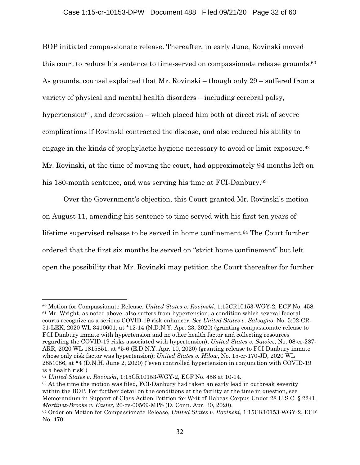BOP initiated compassionate release. Thereafter, in early June, Rovinski moved this court to reduce his sentence to time-served on compassionate release grounds.<sup>60</sup> As grounds, counsel explained that Mr. Rovinski – though only 29 – suffered from a variety of physical and mental health disorders – including cerebral palsy, hypertension<sup>61</sup>, and depression – which placed him both at direct risk of severe complications if Rovinski contracted the disease, and also reduced his ability to engage in the kinds of prophylactic hygiene necessary to avoid or limit exposure.62 Mr. Rovinski, at the time of moving the court, had approximately 94 months left on his 180-month sentence, and was serving his time at FCI-Danbury.<sup>63</sup>

Over the Government's objection, this Court granted Mr. Rovinski's motion on August 11, amending his sentence to time served with his first ten years of lifetime supervised release to be served in home confinement.64 The Court further ordered that the first six months be served on "strict home confinement" but left open the possibility that Mr. Rovinski may petition the Court thereafter for further

<sup>63</sup> At the time the motion was filed, FCI-Danbury had taken an early lead in outbreak severity within the BOP. For further detail on the conditions at the facility at the time in question, see Memorandum in Support of Class Action Petition for Writ of Habeas Corpus Under 28 U.S.C. § 2241, *Martinez-Brooks v. Easter*, 20-cv-00569-MPS (D. Conn. Apr. 30, 2020).

<sup>60</sup> Motion for Compassionate Release, *United States v. Rovinski*, 1:15CR10153-WGY-2, ECF No. 458. 61 Mr. Wright, as noted above, also suffers from hypertension, a condition which several federal courts recognize as a serious COVID-19 risk enhancer. *See United States v. Salvagno*, No. 5:02-CR-51-LEK, 2020 WL 3410601, at \*12-14 (N.D.N.Y. Apr. 23, 2020) (granting compassionate release to FCI Danbury inmate with hypertension and no other health factor and collecting resources regarding the COVID-19 risks associated with hypertension); *United States v. Sawicz*, No. 08-cr-287- ARR, 2020 WL 1815851, at \*5-6 (E.D.N.Y. Apr. 10, 2020) (granting release to FCI Danbury inmate whose only risk factor was hypertension); *United States v. Hilow*, No. 15-cr-170-JD, 2020 WL 2851086, at \*4 (D.N.H. June 2, 2020) ("even controlled hypertension in conjunction with COVID-19 is a health risk")

<sup>62</sup> *United States v. Rovinski*, 1:15CR10153-WGY-2, ECF No. 458 at 10-14.

<sup>64</sup> Order on Motion for Compassionate Release, *United States v. Rovinski*, 1:15CR10153-WGY-2, ECF No. 470.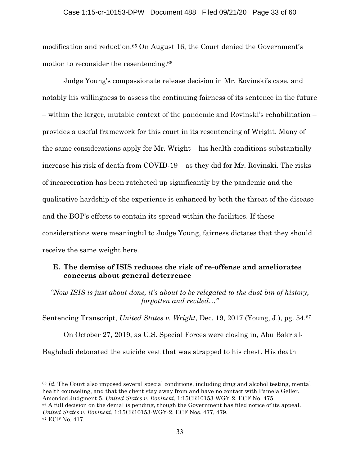modification and reduction.<sup>65</sup> On August 16, the Court denied the Government's motion to reconsider the resentencing.<sup>66</sup>

Judge Young's compassionate release decision in Mr. Rovinski's case, and notably his willingness to assess the continuing fairness of its sentence in the future – within the larger, mutable context of the pandemic and Rovinski's rehabilitation – provides a useful framework for this court in its resentencing of Wright. Many of the same considerations apply for Mr. Wright – his health conditions substantially increase his risk of death from COVID-19 – as they did for Mr. Rovinski. The risks of incarceration has been ratcheted up significantly by the pandemic and the qualitative hardship of the experience is enhanced by both the threat of the disease and the BOP's efforts to contain its spread within the facilities. If these considerations were meaningful to Judge Young, fairness dictates that they should receive the same weight here.

# **E. The demise of ISIS reduces the risk of re-offense and ameliorates concerns about general deterrence**

*"Now ISIS is just about done, it's about to be relegated to the dust bin of history, forgotten and reviled…"* 

Sentencing Transcript, *United States v. Wright*, Dec. 19, 2017 (Young, J.), pg. 54.67

On October 27, 2019, as U.S. Special Forces were closing in, Abu Bakr al-Baghdadi detonated the suicide vest that was strapped to his chest. His death

<sup>65</sup> *Id.* The Court also imposed several special conditions, including drug and alcohol testing, mental health counseling, and that the client stay away from and have no contact with Pamela Geller. Amended Judgment 5, *United States v. Rovinski*, 1:15CR10153-WGY-2, ECF No. 475.

<sup>66</sup> A full decision on the denial is pending, though the Government has filed notice of its appeal. *United States v. Rovinski*, 1:15CR10153-WGY-2, ECF Nos. 477, 479. 67 ECF No. 417.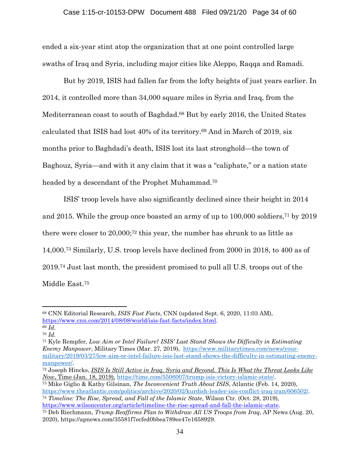ended a six-year stint atop the organization that at one point controlled large swaths of Iraq and Syria, including major cities like Aleppo, Raqqa and Ramadi.

But by 2019, ISIS had fallen far from the lofty heights of just years earlier. In 2014, it controlled more than 34,000 square miles in Syria and Iraq, from the Mediterranean coast to south of Baghdad.68 But by early 2016, the United States calculated that ISIS had lost 40% of its territory.69 And in March of 2019, six months prior to Baghdadi's death, ISIS lost its last stronghold—the town of Baghouz, Syria—and with it any claim that it was a "caliphate," or a nation state headed by a descendant of the Prophet Muhammad.70

ISIS' troop levels have also significantly declined since their height in 2014 and 2015. While the group once boasted an army of up to 100,000 soldiers,71 by 2019 there were closer to 20,000;72 this year, the number has shrunk to as little as 14,000.73 Similarly, U.S. troop levels have declined from 2000 in 2018, to 400 as of 2019.74 Just last month, the president promised to pull all U.S. troops out of the Middle East.75

71 Kyle Rempfer, *Low Aim or Intel Failure? ISIS' Last Stand Shows the Difficulty in Estimating Enemy Manpower*, Military Times (Mar. 27, 2019), https://www.militarytimes.com/news/yourmilitary/2019/03/27/low-aim-or-intel-failure-isis-last-stand-shows-the-difficulty-in-estimating-enemymanpower/.<br><sup>72</sup> Joseph Hincks, *ISIS Is Still Active in Iraq, Syria and Beyond. This Is What the Threat Looks Like* 

https://www.theatlantic.com/politics/archive/2020/02/kurdish-leader-isis-conflict-iraq-iran/606502/. 74 *Timeline: The Rise, Spread, and Fall of the Islamic State*, Wilson Ctr. (Oct. 28, 2019),

<sup>68</sup> CNN Editorial Research, *ISIS Fast Facts*, CNN (updated Sept. 6, 2020, 11:03 AM), https://www.cnn.com/2014/08/08/world/isis-fast-facts/index.html. 69 *Id.*

<sup>70</sup> *Id.*

*Now*, Time (Jan. 18, 2019), https://time.com/5506007/trump-isis-victory-islamic-state/. 73 Mike Giglio & Kathy Gilsinan, *The Inconvenient Truth About ISIS*, Atlantic (Feb. 14, 2020),

https://www.wilsoncenter.org/article/timeline-the-rise-spread-and-fall-the-islamic-state. 75 Deb Riechmann, *Trump Reaffirms Plan to Withdraw All US Troops from Iraq*, AP News (Aug. 20, 2020), https://apnews.com/35581f7ecfed0bbea789ee47e1658929.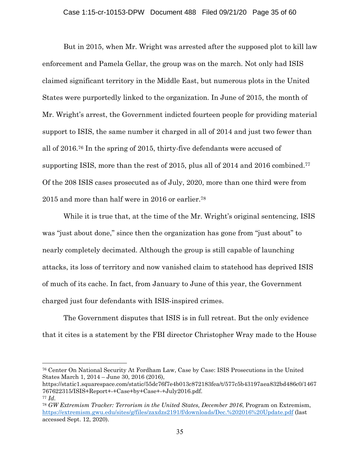But in 2015, when Mr. Wright was arrested after the supposed plot to kill law enforcement and Pamela Gellar, the group was on the march. Not only had ISIS claimed significant territory in the Middle East, but numerous plots in the United States were purportedly linked to the organization. In June of 2015, the month of Mr. Wright's arrest, the Government indicted fourteen people for providing material support to ISIS, the same number it charged in all of 2014 and just two fewer than all of 2016.76 In the spring of 2015, thirty-five defendants were accused of supporting ISIS, more than the rest of 2015, plus all of 2014 and 2016 combined.<sup>77</sup> Of the 208 ISIS cases prosecuted as of July, 2020, more than one third were from 2015 and more than half were in 2016 or earlier.78

While it is true that, at the time of the Mr. Wright's original sentencing, ISIS was "just about done," since then the organization has gone from "just about" to nearly completely decimated. Although the group is still capable of launching attacks, its loss of territory and now vanished claim to statehood has deprived ISIS of much of its cache. In fact, from January to June of this year, the Government charged just four defendants with ISIS-inspired crimes.

The Government disputes that ISIS is in full retreat. But the only evidence that it cites is a statement by the FBI director Christopher Wray made to the House

<sup>76</sup> Center On National Security At Fordham Law, Case by Case: ISIS Prosecutions in the United States March 1, 2014 – June 30, 2016 (2016),

https://static1.squarespace.com/static/55dc76f7e4b013c872183fea/t/577c5b43197aea832bd486c0/1467 767622315/ISIS+Report+-+Case+by+Case+-+July2016.pdf. <sup>77</sup> *Id.*

<sup>78</sup> *GW Extremism Tracker: Terrorism in the United States, December 2016*, Program on Extremism, https://extremism.gwu.edu/sites/g/files/zaxdzs2191/f/downloads/Dec.%202016%20Update.pdf (last accessed Sept. 12, 2020).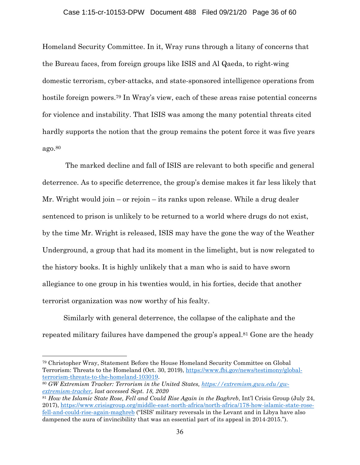### Case 1:15-cr-10153-DPW Document 488 Filed 09/21/20 Page 36 of 60

Homeland Security Committee. In it, Wray runs through a litany of concerns that the Bureau faces, from foreign groups like ISIS and Al Qaeda, to right-wing domestic terrorism, cyber-attacks, and state-sponsored intelligence operations from hostile foreign powers.<sup>79</sup> In Wray's view, each of these areas raise potential concerns for violence and instability. That ISIS was among the many potential threats cited hardly supports the notion that the group remains the potent force it was five years ago.80

 The marked decline and fall of ISIS are relevant to both specific and general deterrence. As to specific deterrence, the group's demise makes it far less likely that Mr. Wright would join – or rejoin – its ranks upon release. While a drug dealer sentenced to prison is unlikely to be returned to a world where drugs do not exist, by the time Mr. Wright is released, ISIS may have the gone the way of the Weather Underground, a group that had its moment in the limelight, but is now relegated to the history books. It is highly unlikely that a man who is said to have sworn allegiance to one group in his twenties would, in his forties, decide that another terrorist organization was now worthy of his fealty.

Similarly with general deterrence, the collapse of the caliphate and the repeated military failures have dampened the group's appeal.<sup>81</sup> Gone are the heady

79 Christopher Wray, Statement Before the House Homeland Security Committee on Global Terrorism: Threats to the Homeland (Oct. 30, 2019), https://www.fbi.gov/news/testimony/globalterrorism-threats-to-the-homeland-103019. 80 *GW Extremism Tracker: Terrorism in the United States, https://extremism.gwu.edu/gw-*

*extremism-tracker, last accessed Sept. 18, 2020*

<sup>81</sup> *How the Islamic State Rose, Fell and Could Rise Again in the Baghreb*, Int'l Crisis Group (July 24, 2017), https://www.crisisgroup.org/middle-east-north-africa/north-africa/178-how-islamic-state-rosefell-and-could-rise-again-maghreb ("ISIS' military reversals in the Levant and in Libya have also dampened the aura of invincibility that was an essential part of its appeal in 2014-2015.").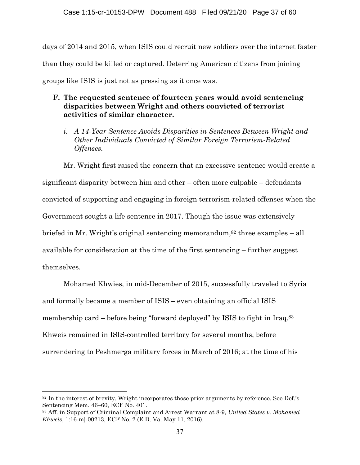days of 2014 and 2015, when ISIS could recruit new soldiers over the internet faster than they could be killed or captured. Deterring American citizens from joining groups like ISIS is just not as pressing as it once was.

# **F. The requested sentence of fourteen years would avoid sentencing disparities between Wright and others convicted of terrorist activities of similar character.**

*i. A 14-Year Sentence Avoids Disparities in Sentences Between Wright and Other Individuals Convicted of Similar Foreign Terrorism-Related Offenses.* 

Mr. Wright first raised the concern that an excessive sentence would create a significant disparity between him and other – often more culpable – defendants convicted of supporting and engaging in foreign terrorism-related offenses when the Government sought a life sentence in 2017. Though the issue was extensively briefed in Mr. Wright's original sentencing memorandum, $82$  three examples – all available for consideration at the time of the first sentencing – further suggest themselves.

Mohamed Khwies, in mid-December of 2015, successfully traveled to Syria and formally became a member of ISIS – even obtaining an official ISIS membership card – before being "forward deployed" by ISIS to fight in Iraq.83 Khweis remained in ISIS-controlled territory for several months, before surrendering to Peshmerga military forces in March of 2016; at the time of his

<sup>82</sup> In the interest of brevity, Wright incorporates those prior arguments by reference. See Def.'s Sentencing Mem. 46–60, ECF No. 401.

<sup>83</sup> Aff. in Support of Criminal Complaint and Arrest Warrant at 8-9, *United States v. Mohamed Khweis*, 1:16-mj-00213, ECF No. 2 (E.D. Va. May 11, 2016).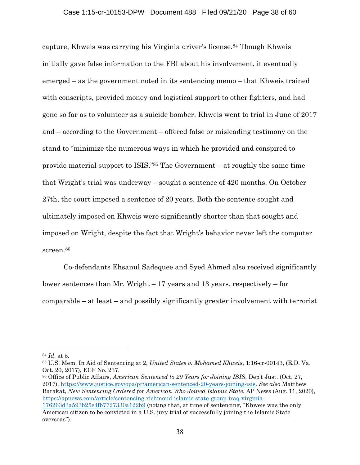capture, Khweis was carrying his Virginia driver's license.84 Though Khweis initially gave false information to the FBI about his involvement, it eventually emerged – as the government noted in its sentencing memo – that Khweis trained with conscripts, provided money and logistical support to other fighters, and had gone so far as to volunteer as a suicide bomber. Khweis went to trial in June of 2017 and – according to the Government – offered false or misleading testimony on the stand to "minimize the numerous ways in which he provided and conspired to provide material support to ISIS."85 The Government – at roughly the same time that Wright's trial was underway – sought a sentence of 420 months. On October 27th, the court imposed a sentence of 20 years. Both the sentence sought and ultimately imposed on Khweis were significantly shorter than that sought and imposed on Wright, despite the fact that Wright's behavior never left the computer screen.86

Co-defendants Ehsanul Sadequee and Syed Ahmed also received significantly lower sentences than Mr. Wright – 17 years and 13 years, respectively – for comparable – at least – and possibly significantly greater involvement with terrorist

86 Office of Public Affairs, *American Sentenced to 20 Years for Joining ISIS*, Dep't Just. (Oct. 27, 2017), https://www.justice.gov/opa/pr/american-sentenced-20-years-joining-isis. *See also* Matthew Barakat, *New Sentencing Ordered for American Who Joined Islamic State*, AP News (Aug. 11, 2020), https://apnews.com/article/sentencing-richmond-islamic-state-group-iraq-virginia-

<sup>84</sup> *Id*. at 5.

<sup>85</sup> U.S. Mem. In Aid of Sentencing at 2, *United States v. Mohamed Khweis*, 1:16-cr-00143, (E.D. Va. Oct. 20, 2017), ECF No. 237.

<sup>176263</sup>d3a593b25e4fb7727330a122b9 (noting that, at time of sentencing, "Khweis was the only American citizen to be convicted in a U.S. jury trial of successfully joining the Islamic State overseas").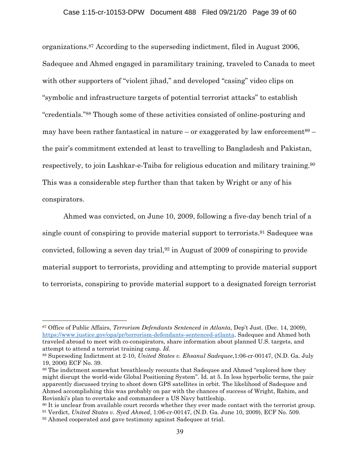organizations.87 According to the superseding indictment, filed in August 2006, Sadequee and Ahmed engaged in paramilitary training, traveled to Canada to meet with other supporters of "violent jihad," and developed "casing" video clips on "symbolic and infrastructure targets of potential terrorist attacks" to establish "credentials."88 Though some of these activities consisted of online-posturing and may have been rather fantastical in nature – or exaggerated by law enforcement<sup>89</sup> – the pair's commitment extended at least to travelling to Bangladesh and Pakistan, respectively, to join Lashkar-e-Taiba for religious education and military training.90 This was a considerable step further than that taken by Wright or any of his conspirators.

Ahmed was convicted, on June 10, 2009, following a five-day bench trial of a single count of conspiring to provide material support to terrorists.91 Sadequee was convicted, following a seven day trial,92 in August of 2009 of conspiring to provide material support to terrorists, providing and attempting to provide material support to terrorists, conspiring to provide material support to a designated foreign terrorist

<sup>87</sup> Office of Public Affairs, *Terrorism Defendants Sentenced in Atlanta*, Dep't Just. (Dec. 14, 2009), https://www.justice.gov/opa/pr/terrorism-defendants-sentenced-atlanta. Sadequee and Ahmed both traveled abroad to meet with co-conspirators, share information about planned U.S. targets, and attempt to attend a terrorist training camp. *Id.* 

<sup>88</sup> Superseding Indictment at 2-10, *United States v. Ehsanul Sadequee*,1:06-cr-00147, (N.D. Ga. July 19, 2006) ECF No. 39.

<sup>89</sup> The indictment somewhat breathlessly recounts that Sadequee and Ahmed "explored how they might disrupt the world-wide Global Positioning System". Id. at 5. In less hyperbolic terms, the pair apparently discussed trying to shoot down GPS satellites in orbit. The likelihood of Sadequee and Ahmed accomplishing this was probably on par with the chances of success of Wright, Rahim, and Rovisnki's plan to overtake and commandeer a US Navy battleship.

<sup>&</sup>lt;sup>90</sup> It is unclear from available court records whether they ever made contact with the terrorist group.

<sup>91</sup> Verdict, *United States v. Syed Ahmed*, 1:06-cr-00147, (N.D. Ga. June 10, 2009), ECF No. 509.

<sup>92</sup> Ahmed cooperated and gave testimony against Sadequee at trial.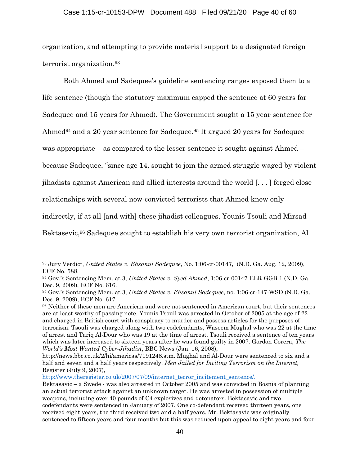### Case 1:15-cr-10153-DPW Document 488 Filed 09/21/20 Page 40 of 60

organization, and attempting to provide material support to a designated foreign terrorist organization.93

Both Ahmed and Sadequee's guideline sentencing ranges exposed them to a life sentence (though the statutory maximum capped the sentence at 60 years for Sadequee and 15 years for Ahmed). The Government sought a 15 year sentence for Ahmed<sup>94</sup> and a 20 year sentence for Sadequee.<sup>95</sup> It argued 20 years for Sadequee was appropriate – as compared to the lesser sentence it sought against Ahmed – because Sadequee, "since age 14, sought to join the armed struggle waged by violent jihadists against American and allied interests around the world [. . . ] forged close relationships with several now-convicted terrorists that Ahmed knew only indirectly, if at all [and with] these jihadist colleagues, Younis Tsouli and Mirsad Bektasevic,96 Sadequee sought to establish his very own terrorist organization, Al

http://www.theregister.co.uk/2007/07/09/internet\_terror\_incitement\_sentence/.

<sup>93</sup> Jury Verdict, *United States v. Ehsanul Sadequee*, No. 1:06-cr-00147, (N.D. Ga. Aug. 12, 2009), ECF No. 588.

<sup>94</sup> Gov.'s Sentencing Mem. at 3, *United States v. Syed Ahmed*, 1:06-cr-00147-ELR-GGB-1 (N.D. Ga. Dec. 9, 2009), ECF No. 616.

<sup>95</sup> Gov.'s Sentencing Mem. at 3, *United States v. Ehsanul Sadequee*, no. 1:06-cr-147-WSD (N.D. Ga. Dec. 9, 2009), ECF No. 617.

<sup>96</sup> Neither of these men are American and were not sentenced in American court, but their sentences are at least worthy of passing note. Younis Tsouli was arrested in October of 2005 at the age of 22 and charged in British court with conspiracy to murder and possess articles for the purposes of terrorism. Tsouli was charged along with two codefendants, Waseem Mughal who was 22 at the time of arrest and Tariq Al-Dour who was 19 at the time of arrest. Tsouli received a sentence of ten years which was later increased to sixteen years after he was found guilty in 2007. Gordon Corera, *The World's Most Wanted Cyber-Jihadist*, BBC News (Jan. 16, 2008),

http://news.bbc.co.uk/2/hi/americas/7191248.stm. Mughal and Al-Dour were sentenced to six and a half and seven and a half years respectively. *Men Jailed for Inciting Terrorism on the Internet,* Register (July 9, 2007),

Bektasavic – a Swede - was also arrested in October 2005 and was convicted in Bosnia of planning an actual terrorist attack against an unknown target. He was arrested in possession of multiple weapons, including over 40 pounds of C4 explosives and detonators. Bektasavic and two codefendants were sentenced in January of 2007. One co-defendant received thirteen years, one received eight years, the third received two and a half years. Mr. Bektasavic was originally sentenced to fifteen years and four months but this was reduced upon appeal to eight years and four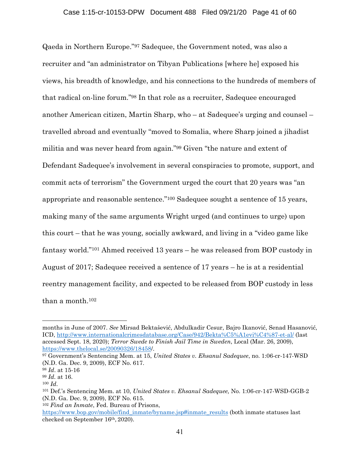Qaeda in Northern Europe."97 Sadequee, the Government noted, was also a recruiter and "an administrator on Tibyan Publications [where he] exposed his views, his breadth of knowledge, and his connections to the hundreds of members of that radical on-line forum."98 In that role as a recruiter, Sadequee encouraged another American citizen, Martin Sharp, who – at Sadequee's urging and counsel – travelled abroad and eventually "moved to Somalia, where Sharp joined a jihadist militia and was never heard from again."99 Given "the nature and extent of Defendant Sadequee's involvement in several conspiracies to promote, support, and commit acts of terrorism" the Government urged the court that 20 years was "an appropriate and reasonable sentence."100 Sadequee sought a sentence of 15 years, making many of the same arguments Wright urged (and continues to urge) upon this court – that he was young, socially awkward, and living in a "video game like fantasy world."101 Ahmed received 13 years – he was released from BOP custody in August of 2017; Sadequee received a sentence of 17 years – he is at a residential reentry management facility, and expected to be released from BOP custody in less than a month.102

months in June of 2007. *See* Mirsad Bektašević, Abdulkadir Cesur, Bajro Ikanović, Senad Hasanović, ICD, http://www.internationalcrimesdatabase.org/Case/942/Bekta%C5%A1evi%C4%87-et-al/ (last accessed Sept. 18, 2020); *Terror Swede to Finish Jail Time in Sweden*, Local (Mar. 26, 2009), https://www.thelocal.se/20090326/18458/.

<sup>97</sup> Government's Sentencing Mem. at 15, *United States v. Ehsanul Sadequee*, no. 1:06-cr-147-WSD (N.D. Ga. Dec. 9, 2009), ECF No. 617.

<sup>98</sup> *Id*. at 15-16

<sup>99</sup> *Id.* at 16.

<sup>100</sup> *Id*. 101 Def.'s Sentencing Mem. at 10, *United States v. Ehsanul Sadequee,* No. 1:06-cr-147-WSD-GGB-2 (N.D. Ga. Dec. 9, 2009), ECF No. 615.

<sup>102</sup> *Find an Inmate*, Fed. Bureau of Prisons,

https://www.bop.gov/mobile/find\_inmate/byname.jsp#inmate\_results (both inmate statuses last checked on September 16th, 2020).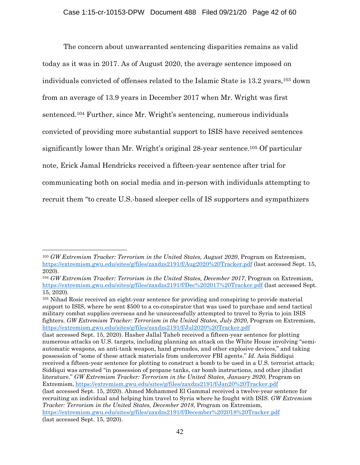The concern about unwarranted sentencing disparities remains as valid today as it was in 2017. As of August 2020, the average sentence imposed on individuals convicted of offenses related to the Islamic State is 13.2 years,103 down from an average of 13.9 years in December 2017 when Mr. Wright was first sentenced.104 Further, since Mr. Wright's sentencing, numerous individuals convicted of providing more substantial support to ISIS have received sentences significantly lower than Mr. Wright's original 28-year sentence.105 Of particular note, Erick Jamal Hendricks received a fifteen-year sentence after trial for communicating both on social media and in-person with individuals attempting to recruit them "to create U.S.-based sleeper cells of IS supporters and sympathizers

105 Nihad Rosic received an eight-year sentence for providing and conspiring to provide material support to ISIS, where he sent \$500 to a co-conspirator that was used to purchase and send tactical military combat supplies overseas and he unsuccessfully attempted to travel to Syria to join ISIS fighters. *GW Extremism Tracker: Terrorism in the United States, July 2020*, Program on Extremism, https://extremism.gwu.edu/sites/g/files/zaxdzs2191/f/Jul2020%20Tracker.pdf

(last accessed Sept. 15, 2020). Hasher Jallal Taheb received a fifteen-year sentence for plotting numerous attacks on U.S. targets, including planning an attack on the White House involving "semiautomatic weapons, an anti-tank weapon, hand grenades, and other explosive devices," and taking possession of "some of these attack materials from undercover FBI agents." *Id.* Asia Siddiqui received a fifteen-year sentence for plotting to construct a bomb to be used in a U.S. terrorist attack; Siddiqui was arrested "in possession of propane tanks, car bomb instructions, and other jihadist literature." *GW Extremism Tracker: Terrorism in the United States, January 2020*, Program on Extremism, https://extremism.gwu.edu/sites/g/files/zaxdzs2191/f/Jan20%20Tracker.pdf (last accessed Sept. 15, 2020). Ahmed Mohammed El Gammal received a twelve-year sentence for recruiting an individual and helping him travel to Syria where he fought with ISIS. *GW Extremism Tracker: Terrorism in the United States, December 2018*, Program on Extremism, https://extremism.gwu.edu/sites/g/files/zaxdzs2191/f/December%202018%20Tracker.pdf (last accessed Sept. 15, 2020).

<sup>103</sup> *GW Extremism Tracker: Terrorism in the United States, August 2020*, Program on Extremism, https://extremism.gwu.edu/sites/g/files/zaxdzs2191/f/Aug2020%20Tracker.pdf (last accessed Sept. 15, 2020).

<sup>104</sup> *GW Extremism Tracker: Terrorism in the United States, December 2017*, Program on Extremism, https://extremism.gwu.edu/sites/g/files/zaxdzs2191/f/Dec%202017%20Tracker.pdf (last accessed Sept. 15, 2020).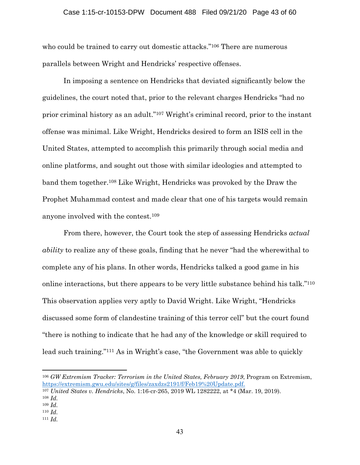who could be trained to carry out domestic attacks."<sup>106</sup> There are numerous parallels between Wright and Hendricks' respective offenses.

In imposing a sentence on Hendricks that deviated significantly below the guidelines, the court noted that, prior to the relevant charges Hendricks "had no prior criminal history as an adult."107 Wright's criminal record, prior to the instant offense was minimal. Like Wright, Hendricks desired to form an ISIS cell in the United States, attempted to accomplish this primarily through social media and online platforms, and sought out those with similar ideologies and attempted to band them together.108 Like Wright, Hendricks was provoked by the Draw the Prophet Muhammad contest and made clear that one of his targets would remain anyone involved with the contest.109

From there, however, the Court took the step of assessing Hendricks *actual ability* to realize any of these goals, finding that he never "had the wherewithal to complete any of his plans. In other words, Hendricks talked a good game in his online interactions, but there appears to be very little substance behind his talk."110 This observation applies very aptly to David Wright. Like Wright, "Hendricks discussed some form of clandestine training of this terror cell" but the court found "there is nothing to indicate that he had any of the knowledge or skill required to lead such training."111 As in Wright's case, "the Government was able to quickly

<sup>106</sup> *GW Extremism Tracker: Terrorism in the United States, February 2019*, Program on Extremism, https://extremism.gwu.edu/sites/g/files/zaxdzs2191/f/Feb19%20Update.pdf.

<sup>107</sup> *United States v. Hendricks*, No. 1:16-cr-265, 2019 WL 1282222, at \*4 (Mar. 19, 2019).

<sup>108</sup> *Id.*

<sup>109</sup> *Id.* 

<sup>110</sup> *Id.* 

<sup>111</sup> *Id.*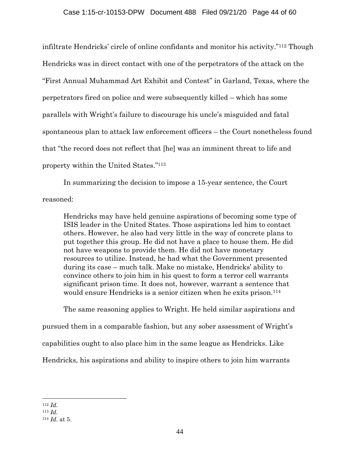infiltrate Hendricks' circle of online confidants and monitor his activity."112 Though Hendricks was in direct contact with one of the perpetrators of the attack on the "First Annual Muhammad Art Exhibit and Contest" in Garland, Texas, where the perpetrators fired on police and were subsequently killed – which has some parallels with Wright's failure to discourage his uncle's misguided and fatal spontaneous plan to attack law enforcement officers – the Court nonetheless found that "the record does not reflect that [he] was an imminent threat to life and property within the United States."113

In summarizing the decision to impose a 15-year sentence, the Court reasoned:

Hendricks may have held genuine aspirations of becoming some type of ISIS leader in the United States. Those aspirations led him to contact others. However, he also had very little in the way of concrete plans to put together this group. He did not have a place to house them. He did not have weapons to provide them. He did not have monetary resources to utilize. Instead, he had what the Government presented during its case – much talk. Make no mistake, Hendricks' ability to convince others to join him in his quest to form a terror cell warrants significant prison time. It does not, however, warrant a sentence that would ensure Hendricks is a senior citizen when he exits prison.<sup>114</sup>

The same reasoning applies to Wright. He held similar aspirations and

pursued them in a comparable fashion, but any sober assessment of Wright's

capabilities ought to also place him in the same league as Hendricks. Like

Hendricks, his aspirations and ability to inspire others to join him warrants

<sup>112</sup> *Id.* 113 *Id.* 

<sup>114</sup> *Id.* at 5.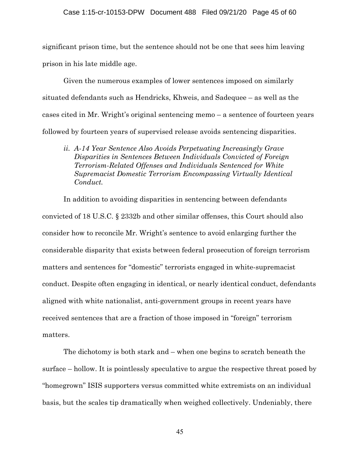#### Case 1:15-cr-10153-DPW Document 488 Filed 09/21/20 Page 45 of 60

significant prison time, but the sentence should not be one that sees him leaving prison in his late middle age.

Given the numerous examples of lower sentences imposed on similarly situated defendants such as Hendricks, Khweis, and Sadequee – as well as the cases cited in Mr. Wright's original sentencing memo – a sentence of fourteen years followed by fourteen years of supervised release avoids sentencing disparities.

*ii. A-14 Year Sentence Also Avoids Perpetuating Increasingly Grave Disparities in Sentences Between Individuals Convicted of Foreign Terrorism-Related Offenses and Individuals Sentenced for White Supremacist Domestic Terrorism Encompassing Virtually Identical Conduct.* 

In addition to avoiding disparities in sentencing between defendants convicted of 18 U.S.C. § 2332b and other similar offenses, this Court should also consider how to reconcile Mr. Wright's sentence to avoid enlarging further the considerable disparity that exists between federal prosecution of foreign terrorism matters and sentences for "domestic" terrorists engaged in white-supremacist conduct. Despite often engaging in identical, or nearly identical conduct, defendants aligned with white nationalist, anti-government groups in recent years have received sentences that are a fraction of those imposed in "foreign" terrorism matters.

The dichotomy is both stark and – when one begins to scratch beneath the surface – hollow. It is pointlessly speculative to argue the respective threat posed by "homegrown" ISIS supporters versus committed white extremists on an individual basis, but the scales tip dramatically when weighed collectively. Undeniably, there

45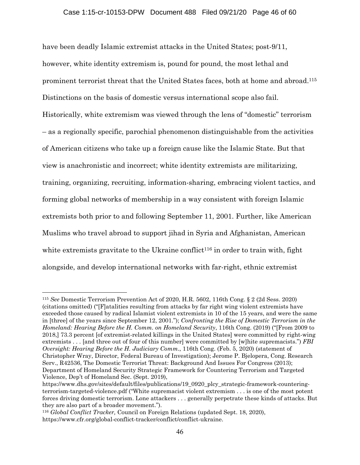have been deadly Islamic extremist attacks in the United States; post-9/11, however, white identity extremism is, pound for pound, the most lethal and prominent terrorist threat that the United States faces, both at home and abroad.115 Distinctions on the basis of domestic versus international scope also fail. Historically, white extremism was viewed through the lens of "domestic" terrorism – as a regionally specific, parochial phenomenon distinguishable from the activities of American citizens who take up a foreign cause like the Islamic State. But that view is anachronistic and incorrect; white identity extremists are militarizing, training, organizing, recruiting, information-sharing, embracing violent tactics, and forming global networks of membership in a way consistent with foreign Islamic extremists both prior to and following September 11, 2001. Further, like American Muslims who travel abroad to support jihad in Syria and Afghanistan, American white extremists gravitate to the Ukraine conflict<sup>116</sup> in order to train with, fight alongside, and develop international networks with far-right, ethnic extremist

<sup>115</sup> *See* Domestic Terrorism Prevention Act of 2020, H.R. 5602, 116th Cong. § 2 (2d Sess. 2020) (citations omitted) ("[F]atalities resulting from attacks by far right wing violent extremists have exceeded those caused by radical Islamist violent extremists in 10 of the 15 years, and were the same in [three] of the years since September 12, 2001."); *Confronting the Rise of Domestic Terrorism in the Homeland: Hearing Before the H. Comm. on Homeland Security*, 116th Cong. (2019) ("[From 2009 to 2018,] 73.3 percent [of extremist-related killings in the United States] were committed by right-wing extremists . . . [and three out of four of this number] were committed by [w]hite supremacists.") *FBI Oversight: Hearing Before the H. Judiciary Comm*., 116th Cong. (Feb. 5, 2020) (statement of Christopher Wray, Director, Federal Bureau of Investigation); Jerome P. Bjelopera, Cong. Research Serv., R42536, The Domestic Terrorist Threat: Background And Issues For Congress (2013); Department of Homeland Security Strategic Framework for Countering Terrorism and Targeted Violence, Dep't of Homeland Sec. (Sept. 2019),

https://www.dhs.gov/sites/default/files/publications/19\_0920\_plcy\_strategic-framework-counteringterrorism-targeted-violence.pdf ("White supremacist violent extremism . . . is one of the most potent forces driving domestic terrorism. Lone attackers . . . generally perpetrate these kinds of attacks. But they are also part of a broader movement.").

<sup>116</sup> *Global Conflict Tracker,* Council on Foreign Relations (updated Sept. 18, 2020), https://www.cfr.org/global-conflict-tracker/conflict/conflict-ukraine.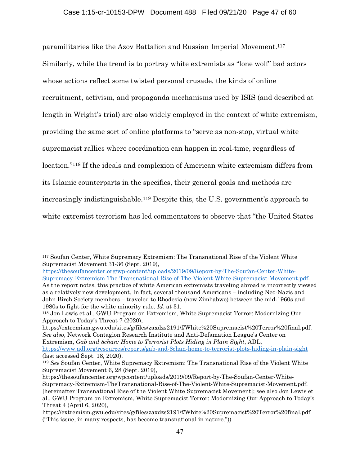paramilitaries like the Azov Battalion and Russian Imperial Movement.117 Similarly, while the trend is to portray white extremists as "lone wolf" bad actors whose actions reflect some twisted personal crusade, the kinds of online recruitment, activism, and propaganda mechanisms used by ISIS (and described at length in Wright's trial) are also widely employed in the context of white extremism, providing the same sort of online platforms to "serve as non-stop, virtual white supremacist rallies where coordination can happen in real-time, regardless of location."118 If the ideals and complexion of American white extremism differs from its Islamic counterparts in the specifics, their general goals and methods are increasingly indistinguishable.119 Despite this, the U.S. government's approach to white extremist terrorism has led commentators to observe that "the United States

https://extremism.gwu.edu/sites/g/files/zaxdzs2191/f/White%20Supremacist%20Terror%20final.pdf. *See also*, Network Contagion Research Institute and Anti-Defamation League's Center on Extremism, *Gab and 8chan: Home to Terrorist Plots Hiding in Plain Sight*, ADL,

<sup>117</sup> Soufan Center, White Supremacy Extremism: The Transnational Rise of the Violent White Supremacist Movement 31-36 (Sept. 2019),

https://thesoufancenter.org/wp-content/uploads/2019/09/Report-by-The-Soufan-Center-White-Supremacy-Extremism-The-Transnational-Rise-of-The-Violent-White-Supremacist-Movement.pdf. As the report notes, this practice of white American extremists traveling abroad is incorrectly viewed as a relatively new development. In fact, several thousand Americans – including Neo-Nazis and John Birch Society members – traveled to Rhodesia (now Zimbabwe) between the mid-1960s and 1980s to fight for the white minority rule. *Id*. at 31.

<sup>118</sup> Jon Lewis et al., GWU Program on Extremism, White Supremacist Terror: Modernizing Our Approach to Today's Threat 7 (2020),

https://www.adl.org/resources/reports/gab-and-8chan-home-to-terrorist-plots-hiding-in-plain-sight (last accessed Sept. 18, 2020).

<sup>119</sup> *See* Soufan Center, White Supremacy Extremism: The Transnational Rise of the Violent White Supremacist Movement 6, 28 (Sept. 2019),

https://thesoufancenter.org/wpcontent/uploads/2019/09/Report-by-The-Soufan-Center-White-Supremacy-Extremism-TheTransnational-Rise-of-The-Violent-White-Supremacist-Movement.pdf. [hereinafter Transnational Rise of the Violent White Supremacist Movement]; see also Jon Lewis et al., GWU Program on Extremism, White Supremacist Terror: Modernizing Our Approach to Today's Threat 4 (April 6, 2020),

https://extremism.gwu.edu/sites/g/files/zaxdzs2191/f/White%20Supremacist%20Terror%20final.pdf ("This issue, in many respects, has become transnational in nature."))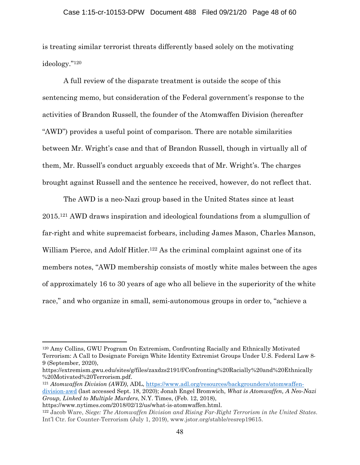is treating similar terrorist threats differently based solely on the motivating ideology."120

A full review of the disparate treatment is outside the scope of this sentencing memo, but consideration of the Federal government's response to the activities of Brandon Russell, the founder of the Atomwaffen Division (hereafter "AWD") provides a useful point of comparison. There are notable similarities between Mr. Wright's case and that of Brandon Russell, though in virtually all of them, Mr. Russell's conduct arguably exceeds that of Mr. Wright's. The charges brought against Russell and the sentence he received, however, do not reflect that.

The AWD is a neo-Nazi group based in the United States since at least 2015.121 AWD draws inspiration and ideological foundations from a slumgullion of far-right and white supremacist forbears, including James Mason, Charles Manson, William Pierce, and Adolf Hitler.<sup>122</sup> As the criminal complaint against one of its members notes, "AWD membership consists of mostly white males between the ages of approximately 16 to 30 years of age who all believe in the superiority of the white race," and who organize in small, semi-autonomous groups in order to, "achieve a

<sup>120</sup> Amy Collins, GWU Program On Extremism, Confronting Racially and Ethnically Motivated Terrorism: A Call to Designate Foreign White Identity Extremist Groups Under U.S. Federal Law 8- 9 (September, 2020),

https://extremism.gwu.edu/sites/g/files/zaxdzs2191/f/Confronting%20Racially%20and%20Ethnically %20Motivated%20Terrorism.pdf.

<sup>121</sup> *Atomwaffen Division (AWD)*, ADL, https://www.adl.org/resources/backgrounders/atomwaffendivision-awd (last accessed Sept. 18, 2020); Jonah Engel Bromwich, *What is Atomwaffen, A Neo-Nazi Group, Linked to Multiple Murders*, N.Y. Times, (Feb. 12, 2018),

https://www.nytimes.com/2018/02/12/us/what-is-atomwaffen.html. 122 Jacob Ware, *Siege: The Atomwaffen Division and Rising Far-Right Terrorism in the United States*. Int'l Ctr. for Counter-Terrorism (July 1, 2019), www.jstor.org/stable/resrep19615.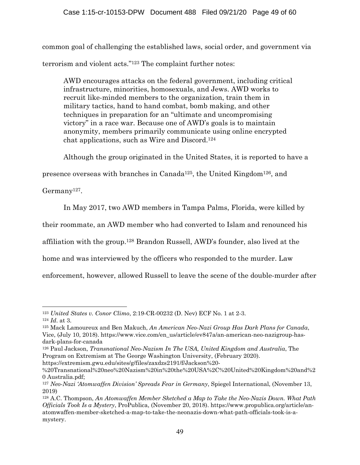common goal of challenging the established laws, social order, and government via terrorism and violent acts."123 The complaint further notes:

AWD encourages attacks on the federal government, including critical infrastructure, minorities, homosexuals, and Jews. AWD works to recruit like-minded members to the organization, train them in military tactics, hand to hand combat, bomb making, and other techniques in preparation for an "ultimate and uncompromising victory" in a race war. Because one of AWD's goals is to maintain anonymity, members primarily communicate using online encrypted chat applications, such as Wire and Discord.124

Although the group originated in the United States, it is reported to have a

presence overseas with branches in Canada125, the United Kingdom126, and

Germany127.

In May 2017, two AWD members in Tampa Palms, Florida, were killed by

their roommate, an AWD member who had converted to Islam and renounced his

affiliation with the group.128 Brandon Russell, AWD's founder, also lived at the

home and was interviewed by the officers who responded to the murder. Law

enforcement, however, allowed Russell to leave the scene of the double-murder after

<sup>123</sup> *United States v. Conor Climo*, 2:19-CR-00232 (D. Nev) ECF No. 1 at 2-3. 124 *Id*. at 3.

<sup>125</sup> Mack Lamoureux and Ben Makuch, *An American Neo-Nazi Group Has Dark Plans for Canada*, Vice, (July 10, 2018). https://www.vice.com/en\_us/article/ev847a/an-american-neo-nazigroup-hasdark-plans-for-canada

<sup>126</sup> Paul Jackson, *Transnational Neo-Nazism In The USA, United Kingdom and Australia*, The Program on Extremism at The George Washington University, (February 2020). https://extremism.gwu.edu/sites/g/files/zaxdzs2191/f/Jackson%20-

<sup>%20</sup>Transnational%20neo%20Nazism%20in%20the%20USA%2C%20United%20Kingdom%20and%2 0 Australia.pdf;

<sup>127</sup> *Neo-Nazi 'Atomwaffen Division' Spreads Fear in Germany*, Spiegel International, (November 13, 2019)

<sup>128</sup> A.C. Thompson, *An Atomwaffen Member Sketched a Map to Take the Neo-Nazis Down. What Path Officials Took Is a Mystery*, ProPublica, (November 20, 2018). https://www.propublica.org/article/anatomwaffen-member-sketched-a-map-to-take-the-neonazis-down-what-path-officials-took-is-amystery.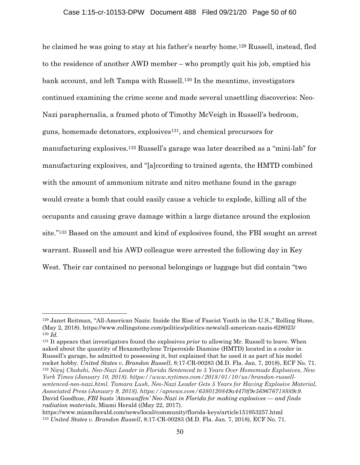he claimed he was going to stay at his father's nearby home.129 Russell, instead, fled to the residence of another AWD member – who promptly quit his job, emptied his bank account, and left Tampa with Russell.130 In the meantime, investigators continued examining the crime scene and made several unsettling discoveries: Neo-Nazi paraphernalia, a framed photo of Timothy McVeigh in Russell's bedroom, guns, homemade detonators, explosives131, and chemical precursors for manufacturing explosives.132 Russell's garage was later described as a "mini-lab" for manufacturing explosives, and "[a]ccording to trained agents, the HMTD combined with the amount of ammonium nitrate and nitro methane found in the garage would create a bomb that could easily cause a vehicle to explode, killing all of the occupants and causing grave damage within a large distance around the explosion site."133 Based on the amount and kind of explosives found, the FBI sought an arrest warrant. Russell and his AWD colleague were arrested the following day in Key West. Their car contained no personal belongings or luggage but did contain "two

131 It appears that investigators found the explosives *prior* to allowing Mr. Russell to leave. When asked about the quantity of Hexamethylene Triperoxide Diamine (HMTD) located in a cooler in Russell's garage, he admitted to possessing it, but explained that he used it as part of his model rocket hobby. *United States v. Brandon Russell*, 8:17-CR-00283 (M.D. Fla. Jan. 7, 2018), ECF No. 71. <sup>132</sup> Niraj *Chokshi, Neo-Nazi Leader in Florida Sentenced to 5 Years Over Homemade Explosives*, *New York Times (January 10, 2018). https://www.nytimes.com/2018/01/10/us/brandon-russellsentenced-neo-nazi.html. Tamara Lush, Neo-Nazi Leader Gets 5 Years for Having Explosive Material, Associated Press (January 9, 2018). https://apnews.com/6380120849a4470f9e569676718889c9.*  David Goodhue, *FBI busts 'Atomwaffen' Neo-Nazi in Florida for making explosives — and finds radiation materials*, Miami Herald ((May 22, 2017).

<sup>129</sup> Janet Reitman, "All-American Nazis: Inside the Rise of Fascist Youth in the U.S.," Rolling Stone, (May 2, 2018). https://www.rollingstone.com/politics/politics-news/all-american-nazis-628023/ <sup>130</sup> *Id.*

https://www.miamiherald.com/news/local/community/florida-keys/article151953257.html <sup>133</sup> *United States v. Brandon Russell*, 8:17-CR-00283 (M.D. Fla. Jan. 7, 2018), ECF No. 71.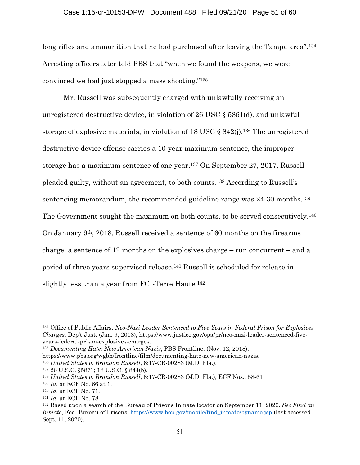long rifles and ammunition that he had purchased after leaving the Tampa area<sup>".134</sup> Arresting officers later told PBS that "when we found the weapons, we were convinced we had just stopped a mass shooting."135

Mr. Russell was subsequently charged with unlawfully receiving an unregistered destructive device, in violation of 26 USC § 5861(d), and unlawful storage of explosive materials, in violation of 18 USC  $\S$  842(j).<sup>136</sup> The unregistered destructive device offense carries a 10-year maximum sentence, the improper storage has a maximum sentence of one year.137 On September 27, 2017, Russell pleaded guilty, without an agreement, to both counts.138 According to Russell's sentencing memorandum, the recommended guideline range was 24-30 months.<sup>139</sup> The Government sought the maximum on both counts, to be served consecutively.140 On January 9th, 2018, Russell received a sentence of 60 months on the firearms charge, a sentence of 12 months on the explosives charge – run concurrent – and a period of three years supervised release.141 Russell is scheduled for release in slightly less than a year from FCI-Terre Haute.<sup>142</sup>

<sup>134</sup> Office of Public Affairs, *Neo-Nazi Leader Sentenced to Five Years in Federal Prison for Explosives Charges*, Dep't Just. (Jan. 9, 2018), https://www.justice.gov/opa/pr/neo-nazi-leader-sentenced-fiveyears-federal-prison-explosives-charges.

<sup>135</sup> *Documenting Hate: New American Nazis*, PBS Frontline, (Nov. 12, 2018).

https://www.pbs.org/wgbh/frontline/film/documenting-hate-new-american-nazis.

<sup>136</sup> *United States v. Brandon Russell*, 8:17-CR-00283 (M.D. Fla.).

<sup>137 26</sup> U.S.C. §5871; 18 U.S.C. § 844(b).

<sup>138</sup> *United States v. Brandon Russell*, 8:17-CR-00283 (M.D. Fla.), ECF Nos.. 58-61

<sup>139</sup> *Id.* at ECF No. 66 at 1.

<sup>&</sup>lt;sup>140</sup> *Id*. at ECF No. 71.<br><sup>141</sup> *Id*. at ECF No. 78. 142 Based upon a search of the Bureau of Prisons Inmate locator on September 11, 2020. *See Find an Inmate*, Fed. Bureau of Prisons, https://www.bop.gov/mobile/find\_inmate/byname.jsp (last accessed Sept. 11, 2020).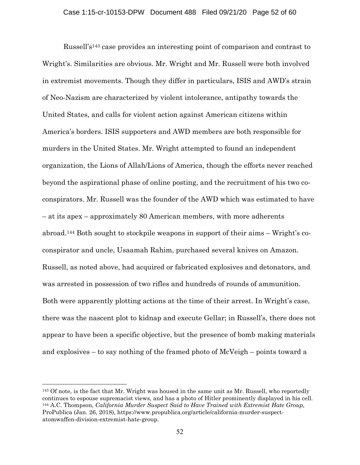Russell's143 case provides an interesting point of comparison and contrast to Wright's. Similarities are obvious. Mr. Wright and Mr. Russell were both involved in extremist movements. Though they differ in particulars, ISIS and AWD's strain of Neo-Nazism are characterized by violent intolerance, antipathy towards the United States, and calls for violent action against American citizens within America's borders. ISIS supporters and AWD members are both responsible for murders in the United States. Mr. Wright attempted to found an independent organization, the Lions of Allah/Lions of America, though the efforts never reached beyond the aspirational phase of online posting, and the recruitment of his two coconspirators. Mr. Russell was the founder of the AWD which was estimated to have – at its apex – approximately 80 American members, with more adherents abroad.144 Both sought to stockpile weapons in support of their aims – Wright's coconspirator and uncle, Usaamah Rahim, purchased several knives on Amazon. Russell, as noted above, had acquired or fabricated explosives and detonators, and was arrested in possession of two rifles and hundreds of rounds of ammunition. Both were apparently plotting actions at the time of their arrest. In Wright's case, there was the nascent plot to kidnap and execute Gellar; in Russell's, there does not appear to have been a specific objective, but the presence of bomb making materials and explosives – to say nothing of the framed photo of McVeigh – points toward a

<sup>143</sup> Of note, is the fact that Mr. Wright was housed in the same unit as Mr. Russell, who reportedly continues to espouse supremacist views, and has a photo of Hitler prominently displayed in his cell. 144 A.C. Thompson, *California Murder Suspect Said to Have Trained with Extremist Hate Group,*  ProPublica (Jan. 26, 2018), https://www.propublica.org/article/california-murder-suspectatomwaffen-division-extremist-hate-group.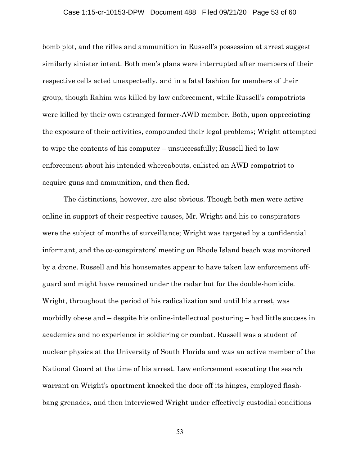### Case 1:15-cr-10153-DPW Document 488 Filed 09/21/20 Page 53 of 60

bomb plot, and the rifles and ammunition in Russell's possession at arrest suggest similarly sinister intent. Both men's plans were interrupted after members of their respective cells acted unexpectedly, and in a fatal fashion for members of their group, though Rahim was killed by law enforcement, while Russell's compatriots were killed by their own estranged former-AWD member. Both, upon appreciating the exposure of their activities, compounded their legal problems; Wright attempted to wipe the contents of his computer – unsuccessfully; Russell lied to law enforcement about his intended whereabouts, enlisted an AWD compatriot to acquire guns and ammunition, and then fled.

The distinctions, however, are also obvious. Though both men were active online in support of their respective causes, Mr. Wright and his co-conspirators were the subject of months of surveillance; Wright was targeted by a confidential informant, and the co-conspirators' meeting on Rhode Island beach was monitored by a drone. Russell and his housemates appear to have taken law enforcement offguard and might have remained under the radar but for the double-homicide. Wright, throughout the period of his radicalization and until his arrest, was morbidly obese and – despite his online-intellectual posturing – had little success in academics and no experience in soldiering or combat. Russell was a student of nuclear physics at the University of South Florida and was an active member of the National Guard at the time of his arrest. Law enforcement executing the search warrant on Wright's apartment knocked the door off its hinges, employed flashbang grenades, and then interviewed Wright under effectively custodial conditions

53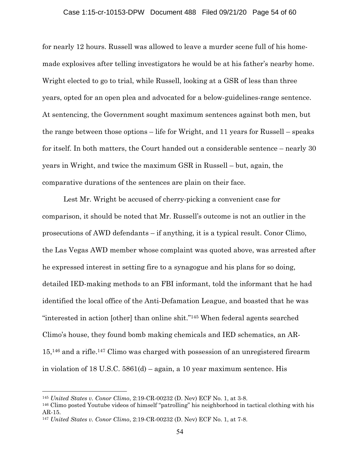### Case 1:15-cr-10153-DPW Document 488 Filed 09/21/20 Page 54 of 60

for nearly 12 hours. Russell was allowed to leave a murder scene full of his homemade explosives after telling investigators he would be at his father's nearby home. Wright elected to go to trial, while Russell, looking at a GSR of less than three years, opted for an open plea and advocated for a below-guidelines-range sentence. At sentencing, the Government sought maximum sentences against both men, but the range between those options – life for Wright, and 11 years for Russell – speaks for itself. In both matters, the Court handed out a considerable sentence – nearly 30 years in Wright, and twice the maximum GSR in Russell – but, again, the comparative durations of the sentences are plain on their face.

Lest Mr. Wright be accused of cherry-picking a convenient case for comparison, it should be noted that Mr. Russell's outcome is not an outlier in the prosecutions of AWD defendants – if anything, it is a typical result. Conor Climo, the Las Vegas AWD member whose complaint was quoted above, was arrested after he expressed interest in setting fire to a synagogue and his plans for so doing, detailed IED-making methods to an FBI informant, told the informant that he had identified the local office of the Anti-Defamation League, and boasted that he was "interested in action [other] than online shit."145 When federal agents searched Climo's house, they found bomb making chemicals and IED schematics, an AR-15,146 and a rifle.147 Climo was charged with possession of an unregistered firearm in violation of 18 U.S.C. 5861(d) – again, a 10 year maximum sentence. His

<sup>145</sup> *United States v. Conor Climo*, 2:19-CR-00232 (D. Nev) ECF No. 1, at 3-8.

<sup>146</sup> Climo posted Youtube videos of himself "patrolling" his neighborhood in tactical clothing with his AR-15.

<sup>147</sup> *United States v. Conor Climo*, 2:19-CR-00232 (D. Nev) ECF No. 1, at 7-8.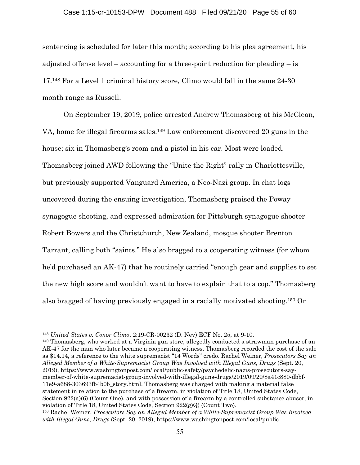#### Case 1:15-cr-10153-DPW Document 488 Filed 09/21/20 Page 55 of 60

sentencing is scheduled for later this month; according to his plea agreement, his adjusted offense level – accounting for a three-point reduction for pleading – is 17.148 For a Level 1 criminal history score, Climo would fall in the same 24-30 month range as Russell.

On September 19, 2019, police arrested Andrew Thomasberg at his McClean, VA, home for illegal firearms sales.149 Law enforcement discovered 20 guns in the house; six in Thomasberg's room and a pistol in his car. Most were loaded. Thomasberg joined AWD following the "Unite the Right" rally in Charlottesville, but previously supported Vanguard America, a Neo-Nazi group. In chat logs uncovered during the ensuing investigation, Thomasberg praised the Poway synagogue shooting, and expressed admiration for Pittsburgh synagogue shooter Robert Bowers and the Christchurch, New Zealand, mosque shooter Brenton Tarrant, calling both "saints." He also bragged to a cooperating witness (for whom he'd purchased an AK-47) that he routinely carried "enough gear and supplies to set the new high score and wouldn't want to have to explain that to a cop." Thomasberg also bragged of having previously engaged in a racially motivated shooting.150 On

149 Thomasberg, who worked at a Virginia gun store, allegedly conducted a strawman purchase of an AK-47 for the man who later became a cooperating witness. Thomasberg recorded the cost of the sale as \$14.14, a reference to the white supremacist "14 Words" credo. Rachel Weiner, *Prosecutors Say an Alleged Member of a White-Supremacist Group Was Involved with Illegal Guns, Drugs* (Sept. 20, 2019), https://www.washingtonpost.com/local/public-safety/psychedelic-nazis-prosecutors-saymember-of-white-supremacist-group-involved-with-illegal-guns-drugs/2019/09/20/8a41c880-dbbf-11e9-a688-303693fb4b0b\_story.html. Thomasberg was charged with making a material false statement in relation to the purchase of a firearm, in violation of Title 18, United States Code, Section 922(a)(6) (Count One), and with possession of a firearm by a controlled substance abuser, in violation of Title 18, United States Code, Section  $922(g)Q$  (Count Two).

<sup>148</sup> *United States v. Conor Climo*, 2:19-CR-00232 (D. Nev) ECF No. 25, at 9-10.

<sup>150</sup> Rachel Weiner, *Prosecutors Say an Alleged Member of a White-Supremacist Group Was Involved with Illegal Guns, Drugs* (Sept. 20, 2019), https://www.washingtonpost.com/local/public-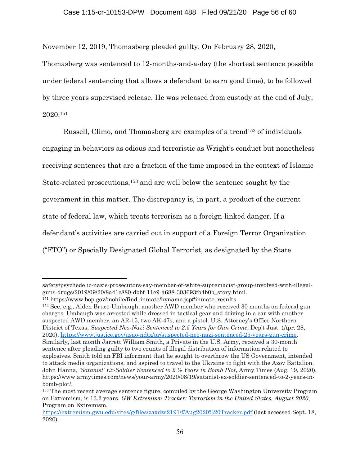November 12, 2019, Thomasberg pleaded guilty. On February 28, 2020,

Thomasberg was sentenced to 12-months-and-a-day (the shortest sentence possible under federal sentencing that allows a defendant to earn good time), to be followed by three years supervised release. He was released from custody at the end of July, 2020.151

Russell, Climo, and Thomasberg are examples of a trend152 of individuals engaging in behaviors as odious and terroristic as Wright's conduct but nonetheless receiving sentences that are a fraction of the time imposed in the context of Islamic State-related prosecutions,153 and are well below the sentence sought by the government in this matter. The discrepancy is, in part, a product of the current state of federal law, which treats terrorism as a foreign-linked danger. If a defendant's activities are carried out in support of a Foreign Terror Organization ("FTO") or Specially Designated Global Terrorist, as designated by the State

152 See, e.g., Aiden Bruce-Umbaugh, another AWD member who received 30 months on federal gun charges. Umbaugh was arrested while dressed in tactical gear and driving in a car with another suspected AWD member, an AR-15, two AK-47s, and a pistol. U.S. Attorney's Office Northern District of Texas, *Suspected Neo-Nazi Sentenced to 2.5 Years for Gun Crime*, Dep't Just. (Apr. 28, 2020), https://www.justice.gov/usao-ndtx/pr/suspected-neo-nazi-sentenced-25-years-gun-crime. Similarly, last month Jarrett William Smith, a Private in the U.S. Army, received a 30-month sentence after pleading guilty to two counts of illegal distribution of information related to explosives. Smith told an FBI informant that he sought to overthrow the US Government, intended to attack media organizations, and aspired to travel to the Ukraine to fight with the Azov Battalion. John Hanna, *'Satanist' Ex-Soldier Sentenced to 2 ½ Years in Bomb Plot*, Army Times (Aug. 19, 2020), https://www.armytimes.com/news/your-army/2020/08/19/satanist-ex-soldier-sentenced-to-2-years-inbomb-plot/.

safety/psychedelic-nazis-prosecutors-say-member-of-white-supremacist-group-involved-with-illegalguns-drugs/2019/09/20/8a41c880-dbbf-11e9-a688-303693fb4b0b\_story.html.

<sup>151</sup> https://www.bop.gov/mobile/find\_inmate/byname.jsp#inmate\_results

<sup>153</sup> The most recent average sentence figure, compiled by the George Washington University Program on Extremism, is 13.2 years. *GW Extremism Tracker: Terrorism in the United States, August 2020*, Program on Extremism,

https://extremism.gwu.edu/sites/g/files/zaxdzs2191/f/Aug2020%20Tracker.pdf (last accessed Sept. 18, 2020).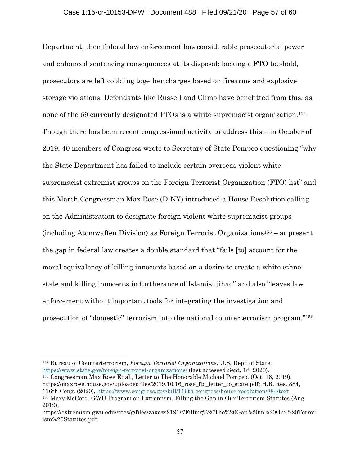Department, then federal law enforcement has considerable prosecutorial power and enhanced sentencing consequences at its disposal; lacking a FTO toe-hold, prosecutors are left cobbling together charges based on firearms and explosive storage violations. Defendants like Russell and Climo have benefitted from this, as none of the 69 currently designated FTOs is a white supremacist organization.<sup>154</sup> Though there has been recent congressional activity to address this – in October of 2019, 40 members of Congress wrote to Secretary of State Pompeo questioning "why the State Department has failed to include certain overseas violent white supremacist extremist groups on the Foreign Terrorist Organization (FTO) list" and this March Congressman Max Rose (D-NY) introduced a House Resolution calling on the Administration to designate foreign violent white supremacist groups (including Atomwaffen Division) as Foreign Terrorist Organizations155 – at present the gap in federal law creates a double standard that "fails [to] account for the moral equivalency of killing innocents based on a desire to create a white ethnostate and killing innocents in furtherance of Islamist jihad" and also "leaves law enforcement without important tools for integrating the investigation and prosecution of "domestic" terrorism into the national counterterrorism program."156

<sup>154</sup> Bureau of Counterterrorism, *Foreign Terrorist Organizations*, U.S. Dep't of State, https://www.state.gov/foreign-terrorist-organizations/ (last accessed Sept. 18, 2020).

<sup>155</sup> Congressman Max Rose Et al., Letter to The Honorable Michael Pompeo, (Oct. 16, 2019). https://maxrose.house.gov/uploadedfiles/2019.10.16 rose fto letter to state.pdf; H.R. Res. 884, 116th Cong. (2020), https://www.congress.gov/bill/116th-congress/house-resolution/884/text.<br><sup>156</sup> Mary McCord, GWU Program on Extremism, Filling the Gap in Our Terrorism Statutes (Aug.

<sup>2019),</sup> 

https://extremism.gwu.edu/sites/g/files/zaxdzs2191/f/Filling%20The%20Gap%20in%20Our%20Terror ism%20Statutes.pdf.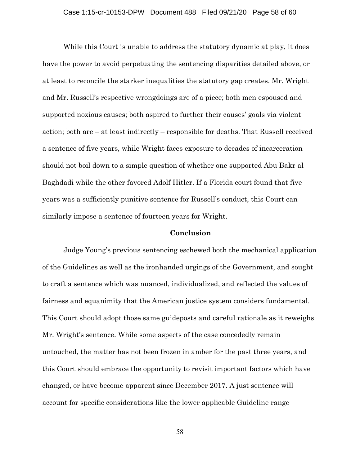While this Court is unable to address the statutory dynamic at play, it does have the power to avoid perpetuating the sentencing disparities detailed above, or at least to reconcile the starker inequalities the statutory gap creates. Mr. Wright and Mr. Russell's respective wrongdoings are of a piece; both men espoused and supported noxious causes; both aspired to further their causes' goals via violent action; both are – at least indirectly – responsible for deaths. That Russell received a sentence of five years, while Wright faces exposure to decades of incarceration should not boil down to a simple question of whether one supported Abu Bakr al Baghdadi while the other favored Adolf Hitler. If a Florida court found that five years was a sufficiently punitive sentence for Russell's conduct, this Court can similarly impose a sentence of fourteen years for Wright.

### **Conclusion**

Judge Young's previous sentencing eschewed both the mechanical application of the Guidelines as well as the ironhanded urgings of the Government, and sought to craft a sentence which was nuanced, individualized, and reflected the values of fairness and equanimity that the American justice system considers fundamental. This Court should adopt those same guideposts and careful rationale as it reweighs Mr. Wright's sentence. While some aspects of the case concededly remain untouched, the matter has not been frozen in amber for the past three years, and this Court should embrace the opportunity to revisit important factors which have changed, or have become apparent since December 2017. A just sentence will account for specific considerations like the lower applicable Guideline range

58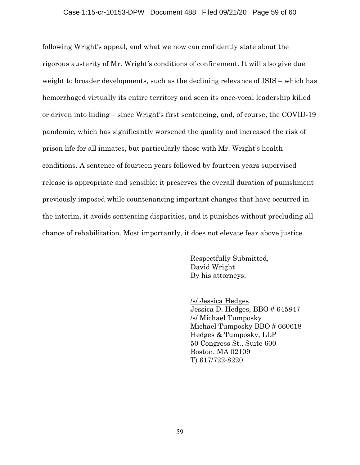### Case 1:15-cr-10153-DPW Document 488 Filed 09/21/20 Page 59 of 60

following Wright's appeal, and what we now can confidently state about the rigorous austerity of Mr. Wright's conditions of confinement. It will also give due weight to broader developments, such as the declining relevance of ISIS – which has hemorrhaged virtually its entire territory and seen its once-vocal leadership killed or driven into hiding – since Wright's first sentencing, and, of course, the COVID-19 pandemic, which has significantly worsened the quality and increased the risk of prison life for all inmates, but particularly those with Mr. Wright's health conditions. A sentence of fourteen years followed by fourteen years supervised release is appropriate and sensible: it preserves the overall duration of punishment previously imposed while countenancing important changes that have occurred in the interim, it avoids sentencing disparities, and it punishes without precluding all chance of rehabilitation. Most importantly, it does not elevate fear above justice.

> Respectfully Submitted, David Wright By his attorneys:

 /s/ Jessica Hedges Jessica D. Hedges, BBO # 645847 /s/ Michael Tumposky Michael Tumposky BBO # 660618 Hedges & Tumposky, LLP 50 Congress St., Suite 600 Boston, MA 02109 T) 617/722-8220